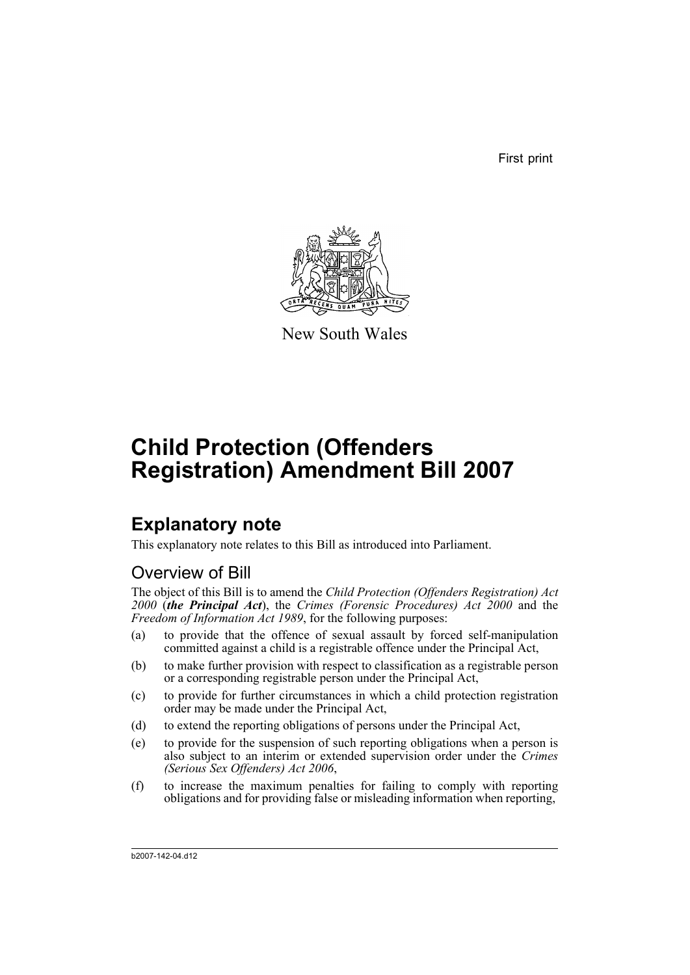First print



New South Wales

# **Child Protection (Offenders Registration) Amendment Bill 2007**

# **Explanatory note**

This explanatory note relates to this Bill as introduced into Parliament.

# Overview of Bill

The object of this Bill is to amend the *Child Protection (Offenders Registration) Act 2000* (*the Principal Act*), the *Crimes (Forensic Procedures) Act 2000* and the *Freedom of Information Act 1989*, for the following purposes:

- (a) to provide that the offence of sexual assault by forced self-manipulation committed against a child is a registrable offence under the Principal Act,
- (b) to make further provision with respect to classification as a registrable person or a corresponding registrable person under the Principal Act,
- (c) to provide for further circumstances in which a child protection registration order may be made under the Principal Act,
- (d) to extend the reporting obligations of persons under the Principal Act,
- (e) to provide for the suspension of such reporting obligations when a person is also subject to an interim or extended supervision order under the *Crimes (Serious Sex Offenders) Act 2006*,
- (f) to increase the maximum penalties for failing to comply with reporting obligations and for providing false or misleading information when reporting,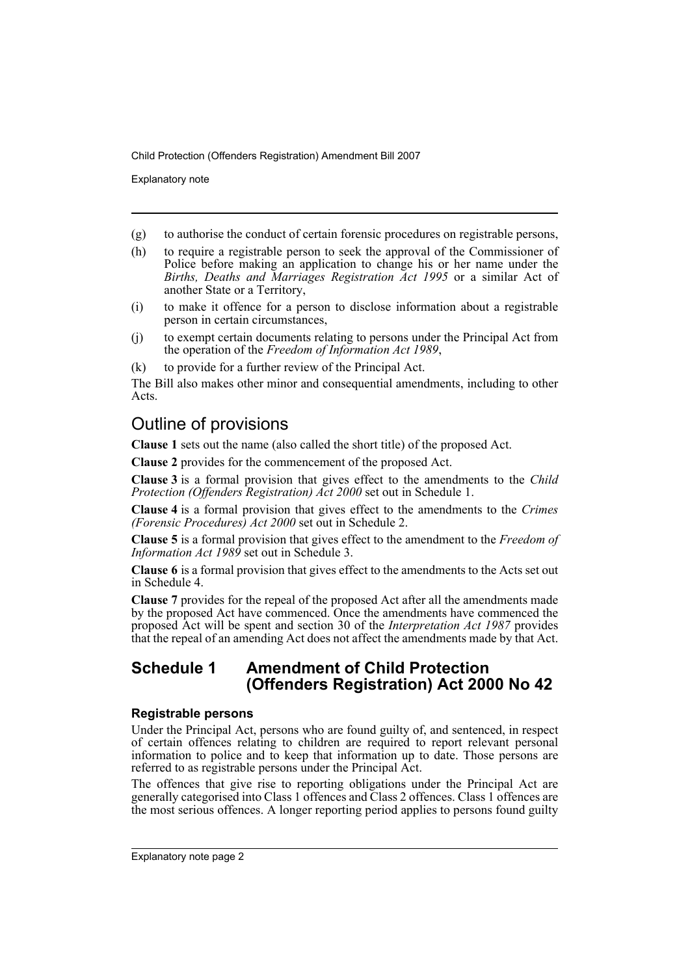Explanatory note

- (g) to authorise the conduct of certain forensic procedures on registrable persons,
- (h) to require a registrable person to seek the approval of the Commissioner of Police before making an application to change his or her name under the *Births, Deaths and Marriages Registration Act 1995* or a similar Act of another State or a Territory,
- (i) to make it offence for a person to disclose information about a registrable person in certain circumstances,
- (j) to exempt certain documents relating to persons under the Principal Act from the operation of the *Freedom of Information Act 1989*,
- (k) to provide for a further review of the Principal Act.

The Bill also makes other minor and consequential amendments, including to other Acts.

# Outline of provisions

**Clause 1** sets out the name (also called the short title) of the proposed Act.

**Clause 2** provides for the commencement of the proposed Act.

**Clause 3** is a formal provision that gives effect to the amendments to the *Child Protection (Offenders Registration) Act 2000* set out in Schedule 1.

**Clause 4** is a formal provision that gives effect to the amendments to the *Crimes (Forensic Procedures) Act 2000* set out in Schedule 2.

**Clause 5** is a formal provision that gives effect to the amendment to the *Freedom of Information Act 1989* set out in Schedule 3.

**Clause 6** is a formal provision that gives effect to the amendments to the Acts set out in Schedule 4.

**Clause 7** provides for the repeal of the proposed Act after all the amendments made by the proposed Act have commenced. Once the amendments have commenced the proposed Act will be spent and section 30 of the *Interpretation Act 1987* provides that the repeal of an amending Act does not affect the amendments made by that Act.

# **Schedule 1 Amendment of Child Protection (Offenders Registration) Act 2000 No 42**

## **Registrable persons**

Under the Principal Act, persons who are found guilty of, and sentenced, in respect of certain offences relating to children are required to report relevant personal information to police and to keep that information up to date. Those persons are referred to as registrable persons under the Principal Act.

The offences that give rise to reporting obligations under the Principal Act are generally categorised into Class 1 offences and Class 2 offences. Class 1 offences are the most serious offences. A longer reporting period applies to persons found guilty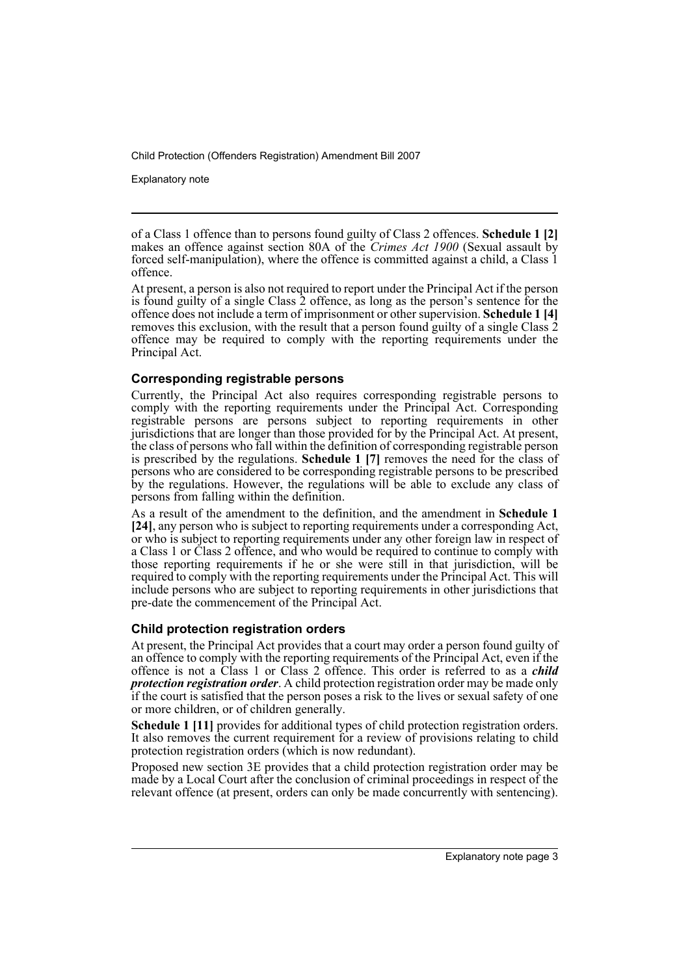Explanatory note

of a Class 1 offence than to persons found guilty of Class 2 offences. **Schedule 1 [2]** makes an offence against section 80A of the *Crimes Act 1900* (Sexual assault by forced self-manipulation), where the offence is committed against a child, a Class 1 offence.

At present, a person is also not required to report under the Principal Act if the person is found guilty of a single Class 2 offence, as long as the person's sentence for the offence does not include a term of imprisonment or other supervision. **Schedule 1 [4]** removes this exclusion, with the result that a person found guilty of a single Class 2 offence may be required to comply with the reporting requirements under the Principal Act.

## **Corresponding registrable persons**

Currently, the Principal Act also requires corresponding registrable persons to comply with the reporting requirements under the Principal Act. Corresponding registrable persons are persons subject to reporting requirements in other jurisdictions that are longer than those provided for by the Principal Act. At present, the class of persons who fall within the definition of corresponding registrable person is prescribed by the regulations. **Schedule 1 [7]** removes the need for the class of persons who are considered to be corresponding registrable persons to be prescribed by the regulations. However, the regulations will be able to exclude any class of persons from falling within the definition.

As a result of the amendment to the definition, and the amendment in **Schedule 1 [24]**, any person who is subject to reporting requirements under a corresponding Act, or who is subject to reporting requirements under any other foreign law in respect of a Class 1 or Class 2 offence, and who would be required to continue to comply with those reporting requirements if he or she were still in that jurisdiction, will be required to comply with the reporting requirements under the Principal Act. This will include persons who are subject to reporting requirements in other jurisdictions that pre-date the commencement of the Principal Act.

# **Child protection registration orders**

At present, the Principal Act provides that a court may order a person found guilty of an offence to comply with the reporting requirements of the Principal Act, even if the offence is not a Class 1 or Class 2 offence. This order is referred to as a *child protection registration order*. A child protection registration order may be made only if the court is satisfied that the person poses a risk to the lives or sexual safety of one or more children, or of children generally.

**Schedule 1 [11]** provides for additional types of child protection registration orders. It also removes the current requirement for a review of provisions relating to child protection registration orders (which is now redundant).

Proposed new section 3E provides that a child protection registration order may be made by a Local Court after the conclusion of criminal proceedings in respect of the relevant offence (at present, orders can only be made concurrently with sentencing).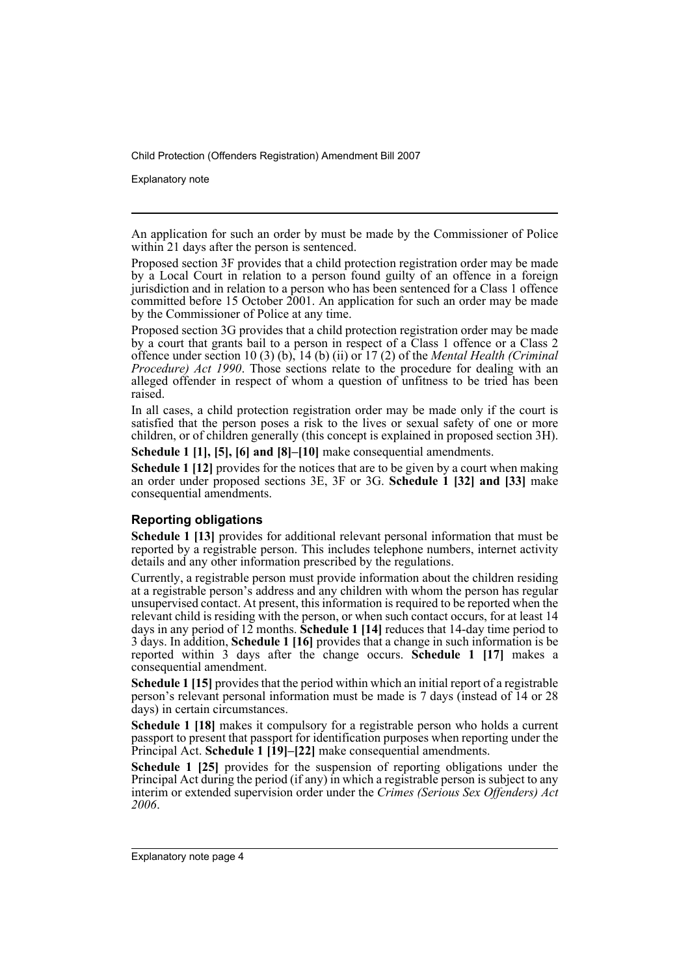Explanatory note

An application for such an order by must be made by the Commissioner of Police within 21 days after the person is sentenced.

Proposed section 3F provides that a child protection registration order may be made by a Local Court in relation to a person found guilty of an offence in a foreign jurisdiction and in relation to a person who has been sentenced for a Class 1 offence committed before 15 October 2001. An application for such an order may be made by the Commissioner of Police at any time.

Proposed section 3G provides that a child protection registration order may be made by a court that grants bail to a person in respect of a Class 1 offence or a Class 2 offence under section 10 (3) (b), 14 (b) (ii) or 17 (2) of the *Mental Health (Criminal Procedure) Act 1990*. Those sections relate to the procedure for dealing with an alleged offender in respect of whom a question of unfitness to be tried has been raised.

In all cases, a child protection registration order may be made only if the court is satisfied that the person poses a risk to the lives or sexual safety of one or more children, or of children generally (this concept is explained in proposed section 3H).

**Schedule 1 [1], [5], [6] and [8]–[10]** make consequential amendments.

**Schedule 1 [12]** provides for the notices that are to be given by a court when making an order under proposed sections 3E, 3F or 3G. **Schedule 1 [32] and [33]** make consequential amendments.

# **Reporting obligations**

**Schedule 1 [13]** provides for additional relevant personal information that must be reported by a registrable person. This includes telephone numbers, internet activity details and any other information prescribed by the regulations.

Currently, a registrable person must provide information about the children residing at a registrable person's address and any children with whom the person has regular unsupervised contact. At present, this information is required to be reported when the relevant child is residing with the person, or when such contact occurs, for at least 14 days in any period of 12 months. **Schedule 1 [14]** reduces that 14-day time period to 3 days. In addition, **Schedule 1 [16]** provides that a change in such information is be reported within 3 days after the change occurs. **Schedule 1 [17]** makes a consequential amendment.

**Schedule 1 [15]** provides that the period within which an initial report of a registrable person's relevant personal information must be made is 7 days (instead of 14 or 28 days) in certain circumstances.

**Schedule 1 [18]** makes it compulsory for a registrable person who holds a current passport to present that passport for identification purposes when reporting under the Principal Act. **Schedule 1 [19]–[22]** make consequential amendments.

**Schedule 1 [25]** provides for the suspension of reporting obligations under the Principal Act during the period (if any) in which a registrable person is subject to any interim or extended supervision order under the *Crimes (Serious Sex Offenders) Act 2006*.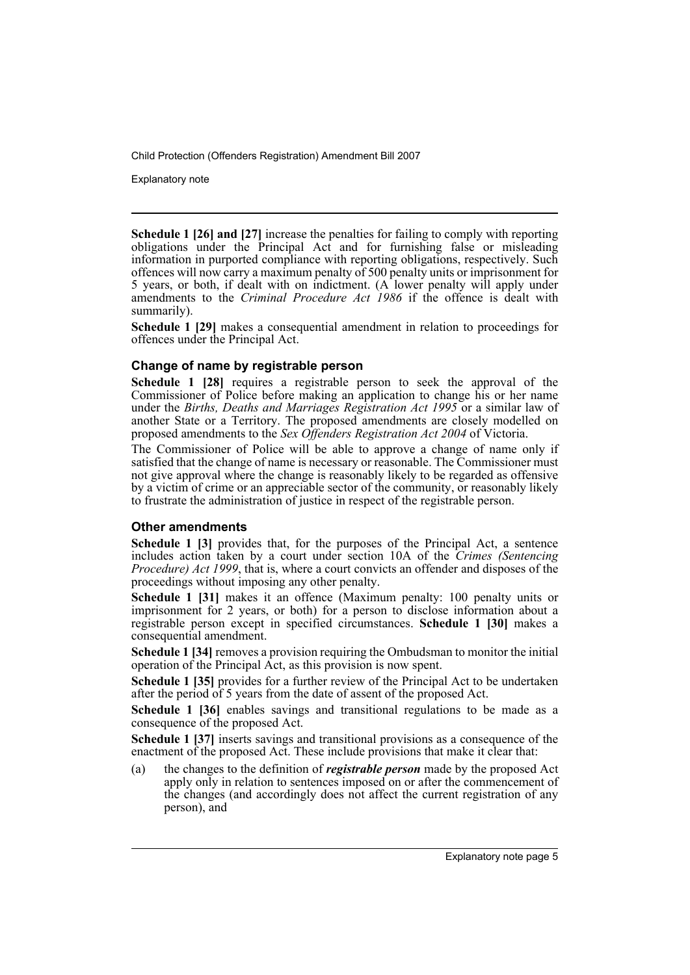Explanatory note

**Schedule 1 [26] and [27]** increase the penalties for failing to comply with reporting obligations under the Principal Act and for furnishing false or misleading information in purported compliance with reporting obligations, respectively. Such offences will now carry a maximum penalty of 500 penalty units or imprisonment for 5 years, or both, if dealt with on indictment. (A lower penalty will apply under amendments to the *Criminal Procedure Act 1986* if the offence is dealt with summarily).

**Schedule 1 [29]** makes a consequential amendment in relation to proceedings for offences under the Principal Act.

## **Change of name by registrable person**

**Schedule 1 [28]** requires a registrable person to seek the approval of the Commissioner of Police before making an application to change his or her name under the *Births, Deaths and Marriages Registration Act 1995* or a similar law of another State or a Territory. The proposed amendments are closely modelled on proposed amendments to the *Sex Offenders Registration Act 2004* of Victoria.

The Commissioner of Police will be able to approve a change of name only if satisfied that the change of name is necessary or reasonable. The Commissioner must not give approval where the change is reasonably likely to be regarded as offensive by a victim of crime or an appreciable sector of the community, or reasonably likely to frustrate the administration of justice in respect of the registrable person.

## **Other amendments**

**Schedule 1 [3]** provides that, for the purposes of the Principal Act, a sentence includes action taken by a court under section 10A of the *Crimes (Sentencing Procedure) Act 1999*, that is, where a court convicts an offender and disposes of the proceedings without imposing any other penalty.

**Schedule 1 [31]** makes it an offence (Maximum penalty: 100 penalty units or imprisonment for 2 years, or both) for a person to disclose information about a registrable person except in specified circumstances. **Schedule 1 [30]** makes a consequential amendment.

**Schedule 1 [34]** removes a provision requiring the Ombudsman to monitor the initial operation of the Principal Act, as this provision is now spent.

**Schedule 1 [35]** provides for a further review of the Principal Act to be undertaken after the period of 5 years from the date of assent of the proposed Act.

Schedule 1 [36] enables savings and transitional regulations to be made as a consequence of the proposed Act.

**Schedule 1 [37]** inserts savings and transitional provisions as a consequence of the enactment of the proposed Act. These include provisions that make it clear that:

(a) the changes to the definition of *registrable person* made by the proposed Act apply only in relation to sentences imposed on or after the commencement of the changes (and accordingly does not affect the current registration of any person), and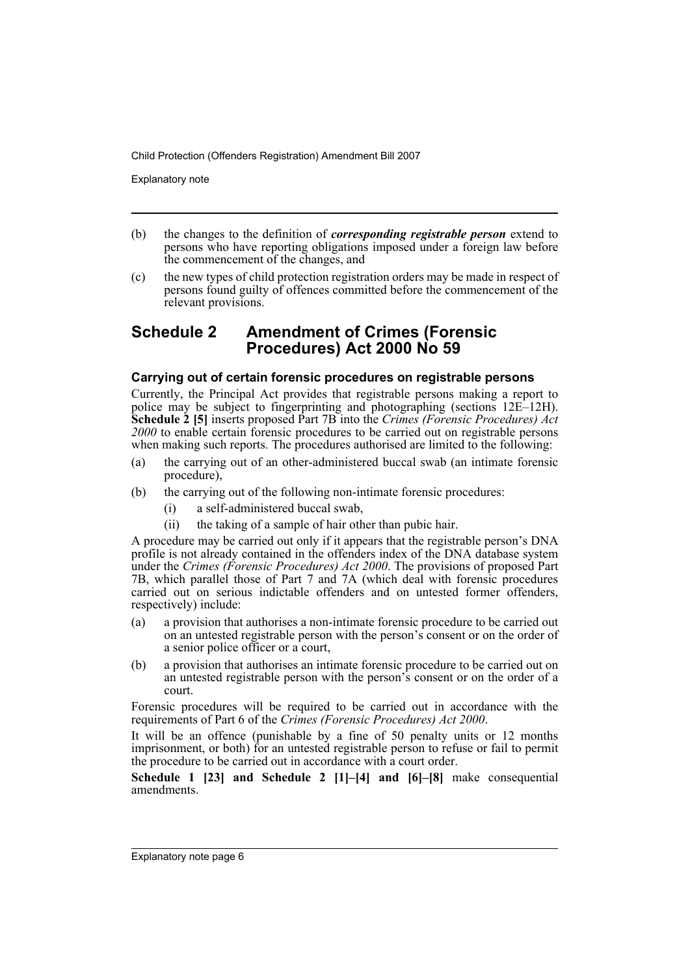Explanatory note

- (b) the changes to the definition of *corresponding registrable person* extend to persons who have reporting obligations imposed under a foreign law before the commencement of the changes, and
- (c) the new types of child protection registration orders may be made in respect of persons found guilty of offences committed before the commencement of the relevant provisions.

# **Schedule 2 Amendment of Crimes (Forensic Procedures) Act 2000 No 59**

## **Carrying out of certain forensic procedures on registrable persons**

Currently, the Principal Act provides that registrable persons making a report to police may be subject to fingerprinting and photographing (sections 12E–12H). **Schedule 2 [5]** inserts proposed Part 7B into the *Crimes (Forensic Procedures) Act 2000* to enable certain forensic procedures to be carried out on registrable persons when making such reports. The procedures authorised are limited to the following:

- (a) the carrying out of an other-administered buccal swab (an intimate forensic procedure),
- (b) the carrying out of the following non-intimate forensic procedures:
	- (i) a self-administered buccal swab,
	- (ii) the taking of a sample of hair other than pubic hair.

A procedure may be carried out only if it appears that the registrable person's DNA profile is not already contained in the offenders index of the DNA database system under the *Crimes (Forensic Procedures) Act 2000*. The provisions of proposed Part 7B, which parallel those of Part 7 and 7A (which deal with forensic procedures carried out on serious indictable offenders and on untested former offenders, respectively) include:

- (a) a provision that authorises a non-intimate forensic procedure to be carried out on an untested registrable person with the person's consent or on the order of a senior police officer or a court,
- (b) a provision that authorises an intimate forensic procedure to be carried out on an untested registrable person with the person's consent or on the order of a court.

Forensic procedures will be required to be carried out in accordance with the requirements of Part 6 of the *Crimes (Forensic Procedures) Act 2000*.

It will be an offence (punishable by a fine of 50 penalty units or 12 months imprisonment, or both) for an untested registrable person to refuse or fail to permit the procedure to be carried out in accordance with a court order.

**Schedule 1 [23] and Schedule 2 [1]–[4] and [6]–[8]** make consequential amendments.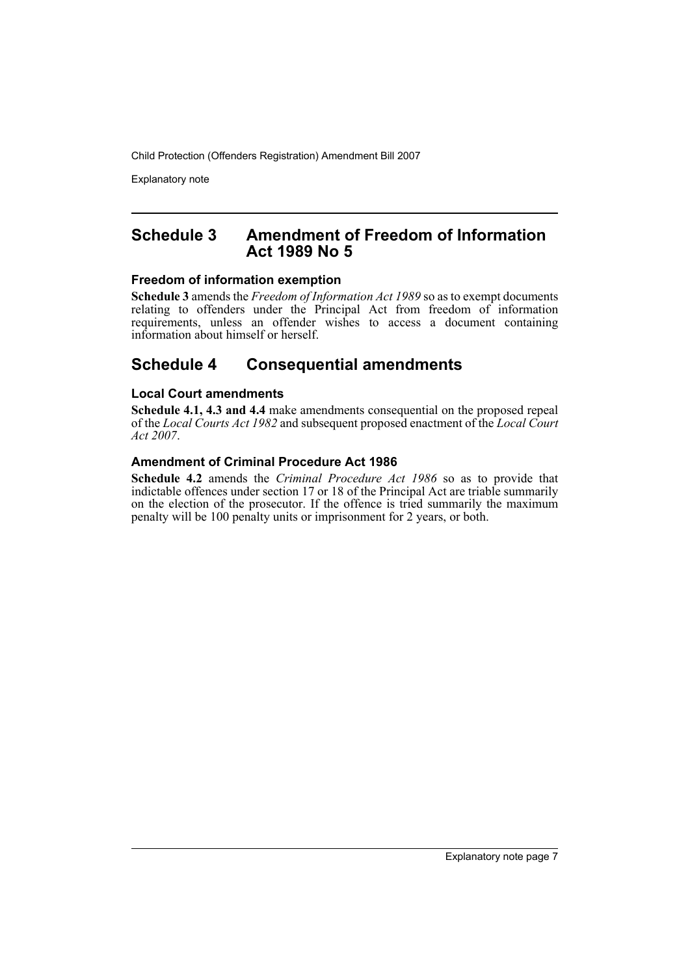Explanatory note

# **Schedule 3 Amendment of Freedom of Information Act 1989 No 5**

## **Freedom of information exemption**

**Schedule 3** amends the *Freedom of Information Act 1989* so as to exempt documents relating to offenders under the Principal Act from freedom of information requirements, unless an offender wishes to access a document containing information about himself or herself.

# **Schedule 4 Consequential amendments**

# **Local Court amendments**

**Schedule 4.1, 4.3 and 4.4** make amendments consequential on the proposed repeal of the *Local Courts Act 1982* and subsequent proposed enactment of the *Local Court Act 2007*.

# **Amendment of Criminal Procedure Act 1986**

**Schedule 4.2** amends the *Criminal Procedure Act 1986* so as to provide that indictable offences under section 17 or 18 of the Principal Act are triable summarily on the election of the prosecutor. If the offence is tried summarily the maximum penalty will be 100 penalty units or imprisonment for 2 years, or both.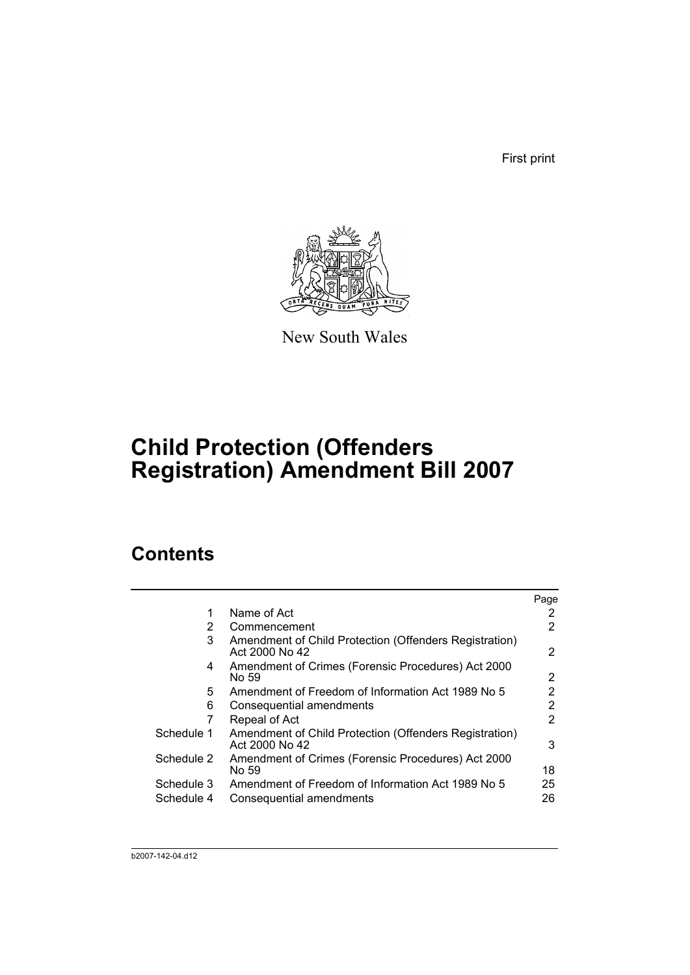First print



New South Wales

# **Child Protection (Offenders Registration) Amendment Bill 2007**

# **Contents**

|                                                                          | Page |
|--------------------------------------------------------------------------|------|
| Name of Act                                                              | 2    |
| Commencement                                                             | 2    |
| Amendment of Child Protection (Offenders Registration)<br>Act 2000 No 42 | 2    |
| Amendment of Crimes (Forensic Procedures) Act 2000<br>No 59              | 2    |
| Amendment of Freedom of Information Act 1989 No 5                        | 2    |
| Consequential amendments                                                 | 2    |
| Repeal of Act                                                            | 2    |
| Amendment of Child Protection (Offenders Registration)<br>Act 2000 No 42 | 3    |
| Amendment of Crimes (Forensic Procedures) Act 2000<br>No 59              | 18   |
| Amendment of Freedom of Information Act 1989 No 5                        | 25   |
| Consequential amendments                                                 | 26   |
|                                                                          |      |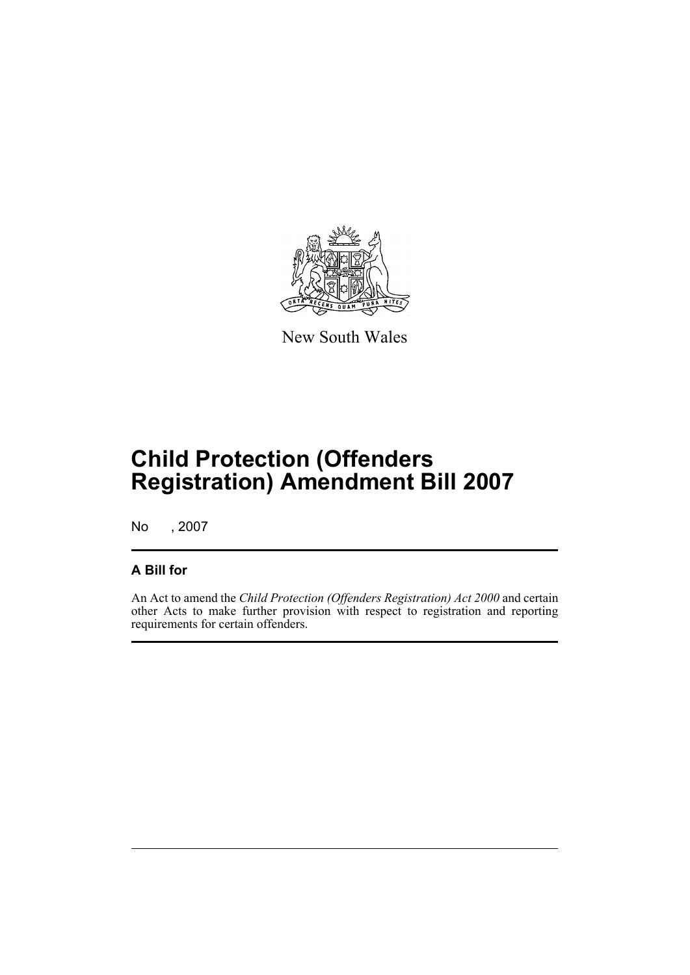

New South Wales

# **Child Protection (Offenders Registration) Amendment Bill 2007**

No , 2007

# **A Bill for**

An Act to amend the *Child Protection (Offenders Registration) Act 2000* and certain other Acts to make further provision with respect to registration and reporting requirements for certain offenders.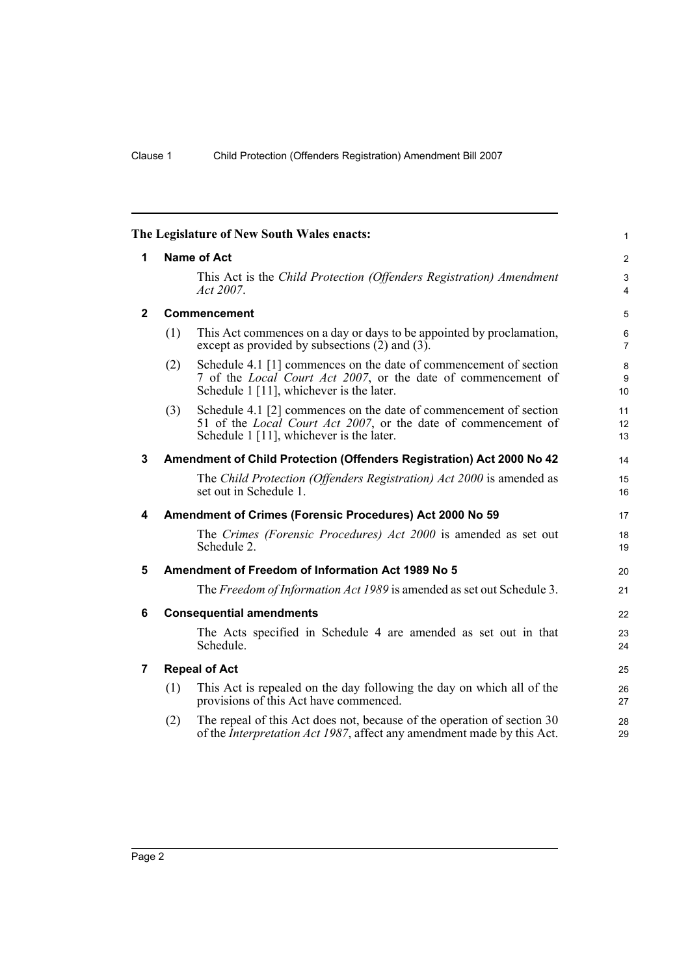<span id="page-11-6"></span><span id="page-11-5"></span><span id="page-11-4"></span><span id="page-11-3"></span><span id="page-11-2"></span><span id="page-11-1"></span><span id="page-11-0"></span>

|     |                                                                                                                                                                                         | $\mathbf{1}$                                                                                                                                                                                                                                                                                                                                 |
|-----|-----------------------------------------------------------------------------------------------------------------------------------------------------------------------------------------|----------------------------------------------------------------------------------------------------------------------------------------------------------------------------------------------------------------------------------------------------------------------------------------------------------------------------------------------|
|     |                                                                                                                                                                                         | $\overline{2}$                                                                                                                                                                                                                                                                                                                               |
|     | This Act is the Child Protection (Offenders Registration) Amendment<br>Act 2007.                                                                                                        | 3<br>$\overline{4}$                                                                                                                                                                                                                                                                                                                          |
|     |                                                                                                                                                                                         | $\sqrt{5}$                                                                                                                                                                                                                                                                                                                                   |
| (1) | This Act commences on a day or days to be appointed by proclamation,<br>except as provided by subsections $(2)$ and $(3)$ .                                                             | 6<br>$\overline{7}$                                                                                                                                                                                                                                                                                                                          |
| (2) | Schedule 4.1 [1] commences on the date of commencement of section<br>7 of the <i>Local Court Act 2007</i> , or the date of commencement of<br>Schedule 1 [11], whichever is the later.  | $\bf 8$<br>9<br>10                                                                                                                                                                                                                                                                                                                           |
| (3) | Schedule 4.1 [2] commences on the date of commencement of section<br>51 of the <i>Local Court Act 2007</i> , or the date of commencement of<br>Schedule 1 [11], whichever is the later. | 11<br>12<br>13                                                                                                                                                                                                                                                                                                                               |
|     |                                                                                                                                                                                         | 14                                                                                                                                                                                                                                                                                                                                           |
|     | The Child Protection (Offenders Registration) Act 2000 is amended as<br>set out in Schedule 1.                                                                                          | 15<br>16                                                                                                                                                                                                                                                                                                                                     |
|     |                                                                                                                                                                                         | 17                                                                                                                                                                                                                                                                                                                                           |
|     | The Crimes (Forensic Procedures) Act 2000 is amended as set out<br>Schedule 2.                                                                                                          | 18<br>19                                                                                                                                                                                                                                                                                                                                     |
|     |                                                                                                                                                                                         | 20                                                                                                                                                                                                                                                                                                                                           |
|     | The Freedom of Information Act 1989 is amended as set out Schedule 3.                                                                                                                   | 21                                                                                                                                                                                                                                                                                                                                           |
|     |                                                                                                                                                                                         | 22                                                                                                                                                                                                                                                                                                                                           |
|     | The Acts specified in Schedule 4 are amended as set out in that<br>Schedule.                                                                                                            | 23<br>24                                                                                                                                                                                                                                                                                                                                     |
|     |                                                                                                                                                                                         | 25                                                                                                                                                                                                                                                                                                                                           |
| (1) | This Act is repealed on the day following the day on which all of the<br>provisions of this Act have commenced.                                                                         | 26<br>27                                                                                                                                                                                                                                                                                                                                     |
| (2) | The repeal of this Act does not, because of the operation of section 30<br>of the <i>Interpretation Act 1987</i> , affect any amendment made by this Act.                               | 28<br>29                                                                                                                                                                                                                                                                                                                                     |
|     |                                                                                                                                                                                         | The Legislature of New South Wales enacts:<br><b>Name of Act</b><br><b>Commencement</b><br>Amendment of Child Protection (Offenders Registration) Act 2000 No 42<br>Amendment of Crimes (Forensic Procedures) Act 2000 No 59<br>Amendment of Freedom of Information Act 1989 No 5<br><b>Consequential amendments</b><br><b>Repeal of Act</b> |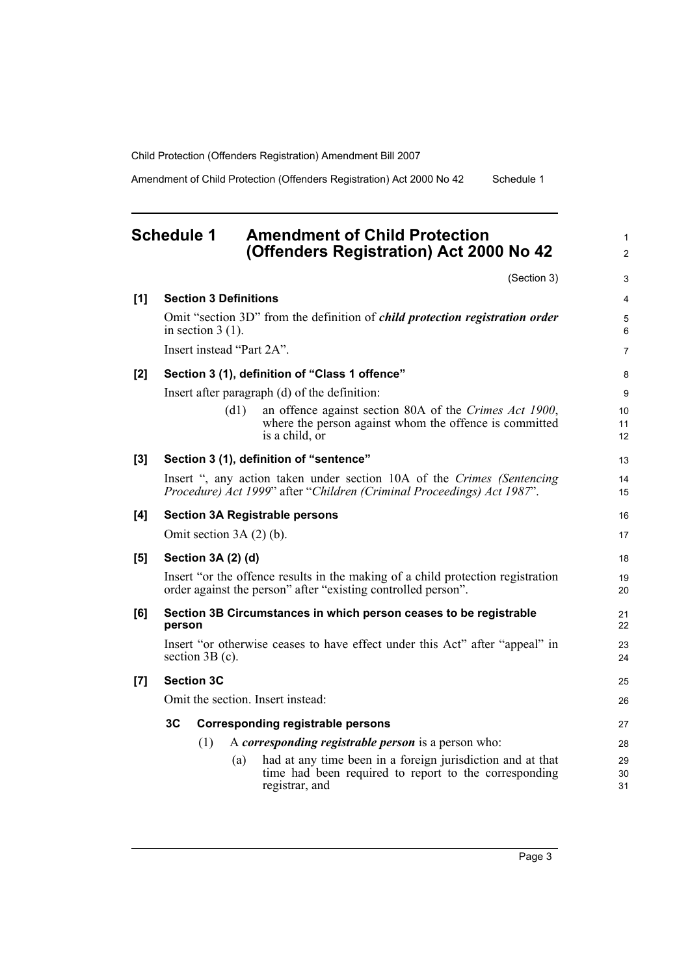Amendment of Child Protection (Offenders Registration) Act 2000 No 42 Schedule 1

# <span id="page-12-0"></span>**Schedule 1 Amendment of Child Protection (Offenders Registration) Act 2000 No 42**

(Section 3)

1 2

3

| [1]                | <b>Section 3 Definitions</b>                                                                    |                                                                                                                                                  | 4              |  |  |
|--------------------|-------------------------------------------------------------------------------------------------|--------------------------------------------------------------------------------------------------------------------------------------------------|----------------|--|--|
|                    | in section $3(1)$ .                                                                             | Omit "section 3D" from the definition of <i>child protection registration order</i>                                                              | 5<br>6         |  |  |
|                    | Insert instead "Part 2A".                                                                       |                                                                                                                                                  | $\overline{7}$ |  |  |
| [2]                |                                                                                                 | Section 3 (1), definition of "Class 1 offence"                                                                                                   | 8              |  |  |
|                    |                                                                                                 | Insert after paragraph (d) of the definition:                                                                                                    | 9              |  |  |
|                    | (d1)                                                                                            | an offence against section 80A of the Crimes Act 1900,<br>where the person against whom the offence is committed<br>is a child, or               | 10<br>11<br>12 |  |  |
| $[3]$              |                                                                                                 | Section 3 (1), definition of "sentence"                                                                                                          | 13             |  |  |
|                    |                                                                                                 | Insert ", any action taken under section 10A of the Crimes (Sentencing<br>Procedure) Act 1999" after "Children (Criminal Proceedings) Act 1987". | 14<br>15       |  |  |
| [4]                |                                                                                                 | <b>Section 3A Registrable persons</b>                                                                                                            | 16             |  |  |
|                    | Omit section $3A(2)$ (b).                                                                       |                                                                                                                                                  | 17             |  |  |
| [5]                | Section 3A (2) (d)                                                                              |                                                                                                                                                  | 18             |  |  |
|                    |                                                                                                 | Insert "or the offence results in the making of a child protection registration<br>order against the person" after "existing controlled person". | 19<br>20       |  |  |
| [6]                | person                                                                                          | Section 3B Circumstances in which person ceases to be registrable                                                                                | 21<br>22       |  |  |
|                    | Insert "or otherwise ceases to have effect under this Act" after "appeal" in<br>section 3B (c). |                                                                                                                                                  |                |  |  |
| $\left[ 7 \right]$ | <b>Section 3C</b>                                                                               |                                                                                                                                                  | 25             |  |  |
|                    | Omit the section. Insert instead:                                                               |                                                                                                                                                  |                |  |  |
|                    | 3C                                                                                              | <b>Corresponding registrable persons</b>                                                                                                         | 27             |  |  |
|                    | (1)                                                                                             | A corresponding registrable person is a person who:                                                                                              | 28             |  |  |
|                    |                                                                                                 | had at any time been in a foreign jurisdiction and at that<br>(a)<br>time had been required to report to the corresponding<br>registrar, and     | 29<br>30<br>31 |  |  |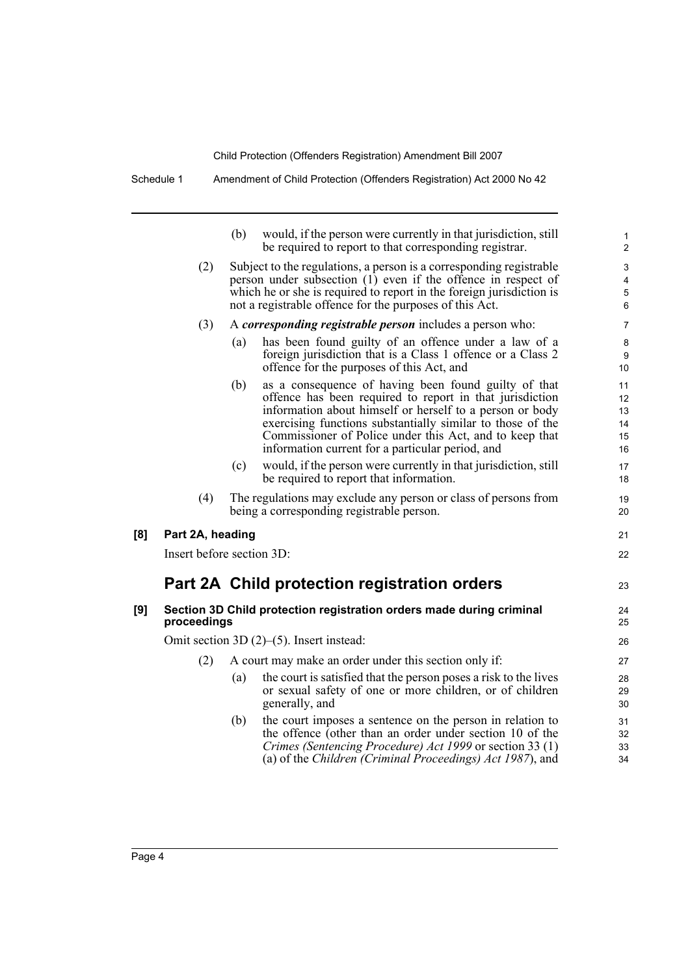Schedule 1 Amendment of Child Protection (Offenders Registration) Act 2000 No 42

|     |                           | (b) | would, if the person were currently in that jurisdiction, still<br>be required to report to that corresponding registrar.                                                                                                                                                                                                                                 | 1<br>$\overline{\mathbf{c}}$     |
|-----|---------------------------|-----|-----------------------------------------------------------------------------------------------------------------------------------------------------------------------------------------------------------------------------------------------------------------------------------------------------------------------------------------------------------|----------------------------------|
|     | (2)                       |     | Subject to the regulations, a person is a corresponding registrable<br>person under subsection (1) even if the offence in respect of<br>which he or she is required to report in the foreign jurisdiction is<br>not a registrable offence for the purposes of this Act.                                                                                   | 3<br>4<br>5<br>6                 |
|     | (3)                       |     | A corresponding registrable person includes a person who:                                                                                                                                                                                                                                                                                                 | 7                                |
|     |                           | (a) | has been found guilty of an offence under a law of a<br>foreign jurisdiction that is a Class 1 offence or a Class 2<br>offence for the purposes of this Act, and                                                                                                                                                                                          | 8<br>9<br>10                     |
|     |                           | (b) | as a consequence of having been found guilty of that<br>offence has been required to report in that jurisdiction<br>information about himself or herself to a person or body<br>exercising functions substantially similar to those of the<br>Commissioner of Police under this Act, and to keep that<br>information current for a particular period, and | 11<br>12<br>13<br>14<br>15<br>16 |
|     |                           | (c) | would, if the person were currently in that jurisdiction, still<br>be required to report that information.                                                                                                                                                                                                                                                | 17<br>18                         |
|     | (4)                       |     | The regulations may exclude any person or class of persons from<br>being a corresponding registrable person.                                                                                                                                                                                                                                              | 19<br>20                         |
| [8] | Part 2A, heading          |     |                                                                                                                                                                                                                                                                                                                                                           | 21                               |
|     | Insert before section 3D: |     |                                                                                                                                                                                                                                                                                                                                                           | 22                               |
|     |                           |     | Part 2A Child protection registration orders                                                                                                                                                                                                                                                                                                              | 23                               |
| [9] | proceedings               |     | Section 3D Child protection registration orders made during criminal                                                                                                                                                                                                                                                                                      | 24<br>25                         |
|     |                           |     | Omit section 3D $(2)$ – $(5)$ . Insert instead:                                                                                                                                                                                                                                                                                                           | 26                               |
|     | (2)                       |     | A court may make an order under this section only if:                                                                                                                                                                                                                                                                                                     | 27                               |
|     |                           | (a) | the court is satisfied that the person poses a risk to the lives<br>or sexual safety of one or more children, or of children<br>generally, and                                                                                                                                                                                                            | 28<br>29<br>30                   |
|     |                           | (b) | the court imposes a sentence on the person in relation to<br>the offence (other than an order under section 10 of the<br>Crimes (Sentencing Procedure) Act 1999 or section 33 (1)<br>(a) of the Children (Criminal Proceedings) Act 1987), and                                                                                                            | 31<br>32<br>33<br>34             |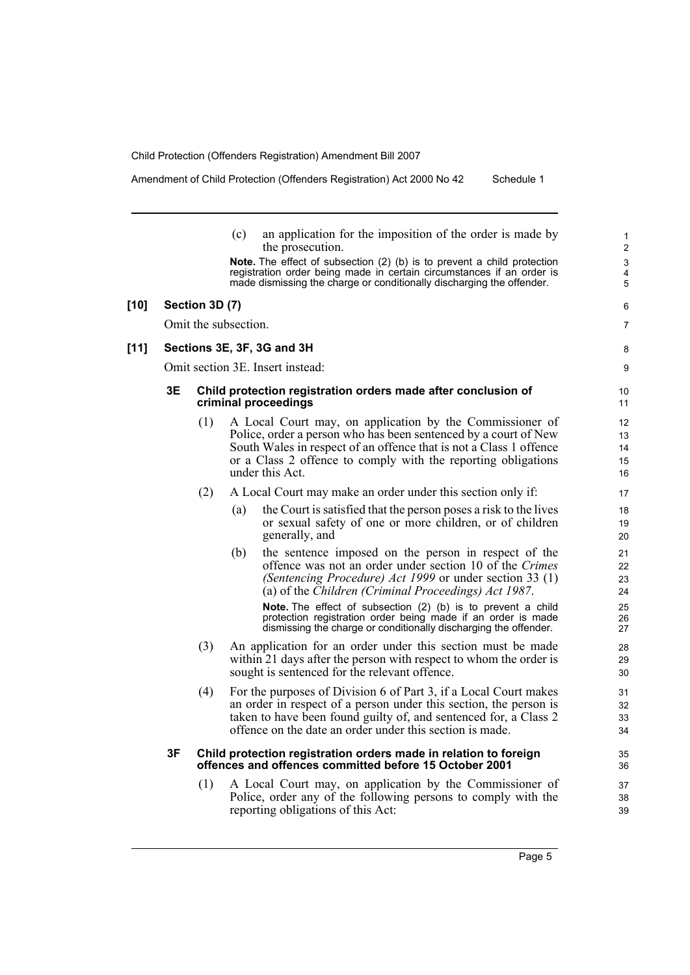Amendment of Child Protection (Offenders Registration) Act 2000 No 42 Schedule 1

- (c) an application for the imposition of the order is made by the prosecution.
- **Note.** The effect of subsection (2) (b) is to prevent a child protection registration order being made in certain circumstances if an order is made dismissing the charge or conditionally discharging the offender.

#### **[10] Section 3D (7)**

Omit the subsection.

#### **[11] Sections 3E, 3F, 3G and 3H**

Omit section 3E. Insert instead:

#### **3E Child protection registration orders made after conclusion of criminal proceedings**

- (1) A Local Court may, on application by the Commissioner of Police, order a person who has been sentenced by a court of New South Wales in respect of an offence that is not a Class 1 offence or a Class 2 offence to comply with the reporting obligations under this Act.
- (2) A Local Court may make an order under this section only if:
	- (a) the Court is satisfied that the person poses a risk to the lives or sexual safety of one or more children, or of children generally, and
	- (b) the sentence imposed on the person in respect of the offence was not an order under section 10 of the *Crimes (Sentencing Procedure) Act 1999* or under section 33 (1) (a) of the *Children (Criminal Proceedings) Act 1987*.

**Note.** The effect of subsection (2) (b) is to prevent a child protection registration order being made if an order is made dismissing the charge or conditionally discharging the offender.

- (3) An application for an order under this section must be made within 21 days after the person with respect to whom the order is sought is sentenced for the relevant offence.
- (4) For the purposes of Division 6 of Part 3, if a Local Court makes an order in respect of a person under this section, the person is taken to have been found guilty of, and sentenced for, a Class 2 offence on the date an order under this section is made.

#### **3F Child protection registration orders made in relation to foreign offences and offences committed before 15 October 2001**

(1) A Local Court may, on application by the Commissioner of Police, order any of the following persons to comply with the reporting obligations of this Act:

6 7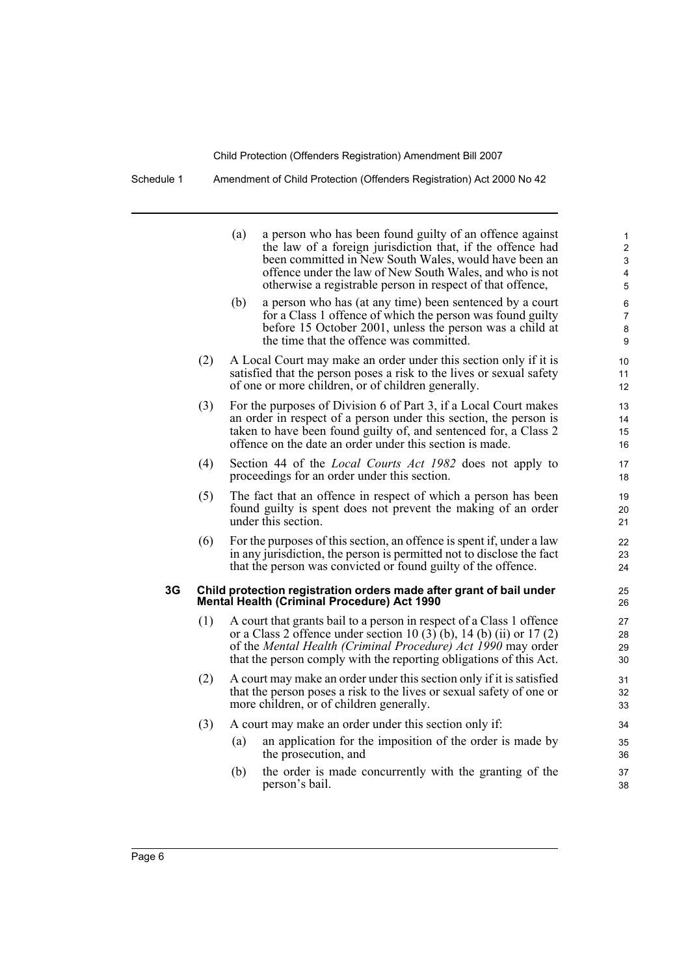Schedule 1 Amendment of Child Protection (Offenders Registration) Act 2000 No 42

|    |     | (a) | a person who has been found guilty of an offence against<br>the law of a foreign jurisdiction that, if the offence had<br>been committed in New South Wales, would have been an<br>offence under the law of New South Wales, and who is not<br>otherwise a registrable person in respect of that offence, | 1<br>$\mathbf 2$<br>3<br>4<br>5 |
|----|-----|-----|-----------------------------------------------------------------------------------------------------------------------------------------------------------------------------------------------------------------------------------------------------------------------------------------------------------|---------------------------------|
|    |     | (b) | a person who has (at any time) been sentenced by a court<br>for a Class 1 offence of which the person was found guilty<br>before 15 October 2001, unless the person was a child at<br>the time that the offence was committed.                                                                            | 6<br>$\overline{7}$<br>8<br>9   |
|    | (2) |     | A Local Court may make an order under this section only if it is<br>satisfied that the person poses a risk to the lives or sexual safety<br>of one or more children, or of children generally.                                                                                                            | 10<br>11<br>12                  |
|    | (3) |     | For the purposes of Division 6 of Part 3, if a Local Court makes<br>an order in respect of a person under this section, the person is<br>taken to have been found guilty of, and sentenced for, a Class 2<br>offence on the date an order under this section is made.                                     | 13<br>14<br>15<br>16            |
|    | (4) |     | Section 44 of the <i>Local Courts Act 1982</i> does not apply to<br>proceedings for an order under this section.                                                                                                                                                                                          | 17<br>18                        |
|    | (5) |     | The fact that an offence in respect of which a person has been<br>found guilty is spent does not prevent the making of an order<br>under this section.                                                                                                                                                    | 19<br>20<br>21                  |
|    | (6) |     | For the purposes of this section, an offence is spent if, under a law<br>in any jurisdiction, the person is permitted not to disclose the fact<br>that the person was convicted or found guilty of the offence.                                                                                           | 22<br>23<br>24                  |
| 3G |     |     | Child protection registration orders made after grant of bail under<br><b>Mental Health (Criminal Procedure) Act 1990</b>                                                                                                                                                                                 | 25<br>26                        |
|    | (1) |     | A court that grants bail to a person in respect of a Class 1 offence<br>or a Class 2 offence under section 10 (3) (b), 14 (b) (ii) or 17 (2)<br>of the Mental Health (Criminal Procedure) Act 1990 may order<br>that the person comply with the reporting obligations of this Act.                        | 27<br>28<br>29<br>30            |
|    | (2) |     | A court may make an order under this section only if it is satisfied<br>that the person poses a risk to the lives or sexual safety of one or<br>more children, or of children generally.                                                                                                                  | 31<br>32<br>33                  |
|    | (3) |     | A court may make an order under this section only if:                                                                                                                                                                                                                                                     | 34                              |
|    |     | (a) | an application for the imposition of the order is made by<br>the prosecution, and                                                                                                                                                                                                                         | 35<br>36                        |
|    |     | (b) | the order is made concurrently with the granting of the<br>person's bail.                                                                                                                                                                                                                                 | 37<br>38                        |
|    |     |     |                                                                                                                                                                                                                                                                                                           |                                 |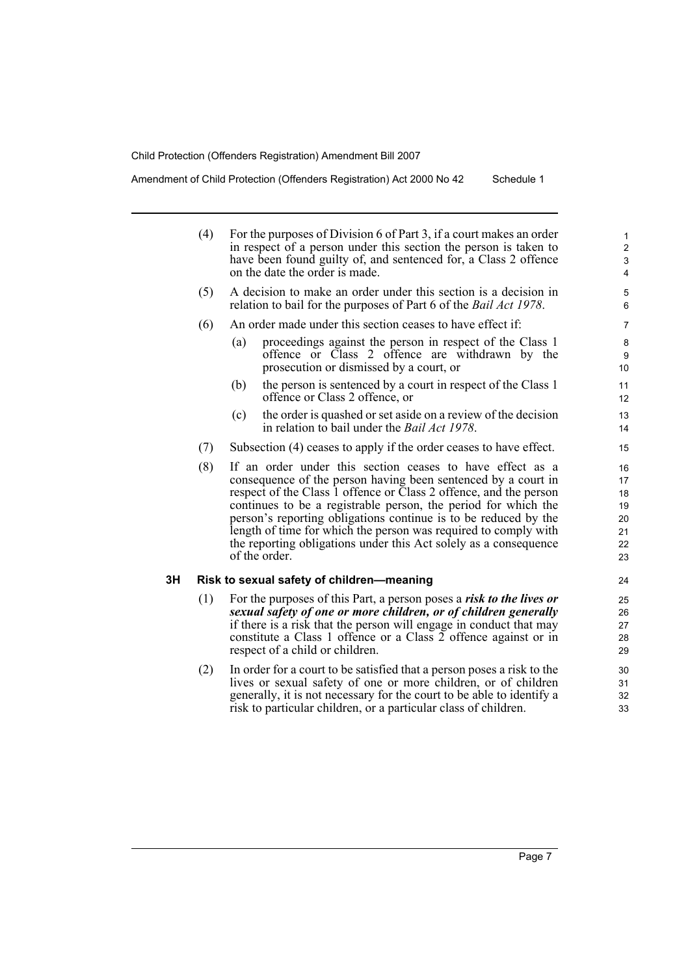Amendment of Child Protection (Offenders Registration) Act 2000 No 42 Schedule 1

|    | (4) | For the purposes of Division 6 of Part 3, if a court makes an order<br>in respect of a person under this section the person is taken to<br>have been found guilty of, and sentenced for, a Class 2 offence<br>on the date the order is made.                                                                                                                                                                                                                                                 |                                              |  |  |  |  |  |  |  |
|----|-----|----------------------------------------------------------------------------------------------------------------------------------------------------------------------------------------------------------------------------------------------------------------------------------------------------------------------------------------------------------------------------------------------------------------------------------------------------------------------------------------------|----------------------------------------------|--|--|--|--|--|--|--|
|    | (5) | A decision to make an order under this section is a decision in<br>relation to bail for the purposes of Part 6 of the <i>Bail Act 1978</i> .                                                                                                                                                                                                                                                                                                                                                 | 5<br>6                                       |  |  |  |  |  |  |  |
|    | (6) | An order made under this section ceases to have effect if:                                                                                                                                                                                                                                                                                                                                                                                                                                   | 7                                            |  |  |  |  |  |  |  |
|    |     | proceedings against the person in respect of the Class 1<br>(a)<br>offence or Class 2 offence are withdrawn by the<br>prosecution or dismissed by a court, or                                                                                                                                                                                                                                                                                                                                | 8<br>9<br>10                                 |  |  |  |  |  |  |  |
|    |     | (b)<br>the person is sentenced by a court in respect of the Class 1<br>offence or Class 2 offence, or                                                                                                                                                                                                                                                                                                                                                                                        | 11<br>12                                     |  |  |  |  |  |  |  |
|    |     | the order is quashed or set aside on a review of the decision<br>(c)<br>in relation to bail under the <i>Bail Act 1978</i> .                                                                                                                                                                                                                                                                                                                                                                 | 13<br>14                                     |  |  |  |  |  |  |  |
|    | (7) | Subsection (4) ceases to apply if the order ceases to have effect.                                                                                                                                                                                                                                                                                                                                                                                                                           | 15                                           |  |  |  |  |  |  |  |
|    | (8) | If an order under this section ceases to have effect as a<br>consequence of the person having been sentenced by a court in<br>respect of the Class 1 offence or Class 2 offence, and the person<br>continues to be a registrable person, the period for which the<br>person's reporting obligations continue is to be reduced by the<br>length of time for which the person was required to comply with<br>the reporting obligations under this Act solely as a consequence<br>of the order. | 16<br>17<br>18<br>19<br>20<br>21<br>22<br>23 |  |  |  |  |  |  |  |
| 3H |     | Risk to sexual safety of children-meaning                                                                                                                                                                                                                                                                                                                                                                                                                                                    | 24                                           |  |  |  |  |  |  |  |
|    | (1) | For the purposes of this Part, a person poses a risk to the lives or<br>sexual safety of one or more children, or of children generally<br>if there is a risk that the person will engage in conduct that may<br>constitute a Class 1 offence or a Class 2 offence against or in<br>respect of a child or children.                                                                                                                                                                          | 25<br>26<br>27<br>28<br>29                   |  |  |  |  |  |  |  |
|    | (2) | In order for a court to be satisfied that a person poses a risk to the<br>lives or sexual safety of one or more children, or of children<br>generally, it is not necessary for the court to be able to identify a<br>risk to particular children, or a particular class of children.                                                                                                                                                                                                         | 30<br>31<br>32<br>33                         |  |  |  |  |  |  |  |
|    |     |                                                                                                                                                                                                                                                                                                                                                                                                                                                                                              |                                              |  |  |  |  |  |  |  |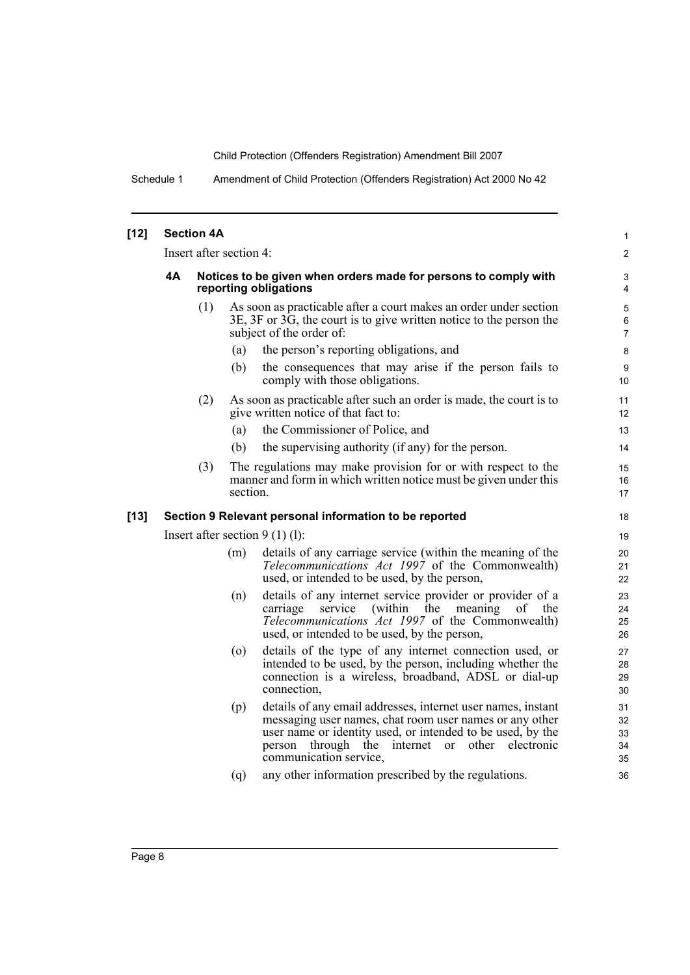Schedule 1 Amendment of Child Protection (Offenders Registration) Act 2000 No 42

| $[12]$ |    | <b>Section 4A</b> |                         |                                                                                                                                                                                                                                                                                     | $\mathbf{1}$               |
|--------|----|-------------------|-------------------------|-------------------------------------------------------------------------------------------------------------------------------------------------------------------------------------------------------------------------------------------------------------------------------------|----------------------------|
|        |    |                   | Insert after section 4: |                                                                                                                                                                                                                                                                                     | $\overline{2}$             |
|        | 4А |                   |                         | Notices to be given when orders made for persons to comply with<br>reporting obligations                                                                                                                                                                                            | 3<br>4                     |
|        |    | (1)               |                         | As soon as practicable after a court makes an order under section<br>3E, 3F or 3G, the court is to give written notice to the person the<br>subject of the order of:                                                                                                                | 5<br>6<br>$\overline{7}$   |
|        |    |                   | (a)                     | the person's reporting obligations, and                                                                                                                                                                                                                                             | 8                          |
|        |    |                   | (b)                     | the consequences that may arise if the person fails to<br>comply with those obligations.                                                                                                                                                                                            | 9<br>10                    |
|        |    | (2)               |                         | As soon as practicable after such an order is made, the court is to<br>give written notice of that fact to:                                                                                                                                                                         | 11<br>12                   |
|        |    |                   | (a)                     | the Commissioner of Police, and                                                                                                                                                                                                                                                     | 13                         |
|        |    |                   | (b)                     | the supervising authority (if any) for the person.                                                                                                                                                                                                                                  | 14                         |
|        |    | (3)               | section.                | The regulations may make provision for or with respect to the<br>manner and form in which written notice must be given under this                                                                                                                                                   | 15<br>16<br>17             |
| [13]   |    |                   |                         | Section 9 Relevant personal information to be reported                                                                                                                                                                                                                              | 18                         |
|        |    |                   |                         | Insert after section $9(1)(1)$ :                                                                                                                                                                                                                                                    | 19                         |
|        |    |                   | (m)                     | details of any carriage service (within the meaning of the<br>Telecommunications Act 1997 of the Commonwealth)<br>used, or intended to be used, by the person,                                                                                                                      | 20<br>21<br>22             |
|        |    |                   | (n)                     | details of any internet service provider or provider of a<br>service<br>(within the<br>meaning<br>carriage<br>οf<br>the<br>Telecommunications Act 1997 of the Commonwealth)<br>used, or intended to be used, by the person,                                                         | 23<br>24<br>25<br>26       |
|        |    |                   | (0)                     | details of the type of any internet connection used, or<br>intended to be used, by the person, including whether the<br>connection is a wireless, broadband, ADSL or dial-up<br>connection.                                                                                         | 27<br>28<br>29<br>30       |
|        |    |                   | (p)                     | details of any email addresses, internet user names, instant<br>messaging user names, chat room user names or any other<br>user name or identity used, or intended to be used, by the<br>person through the internet<br>other electronic<br><sub>or</sub><br>communication service, | 31<br>32<br>33<br>34<br>35 |
|        |    |                   | (q)                     | any other information prescribed by the regulations.                                                                                                                                                                                                                                | 36                         |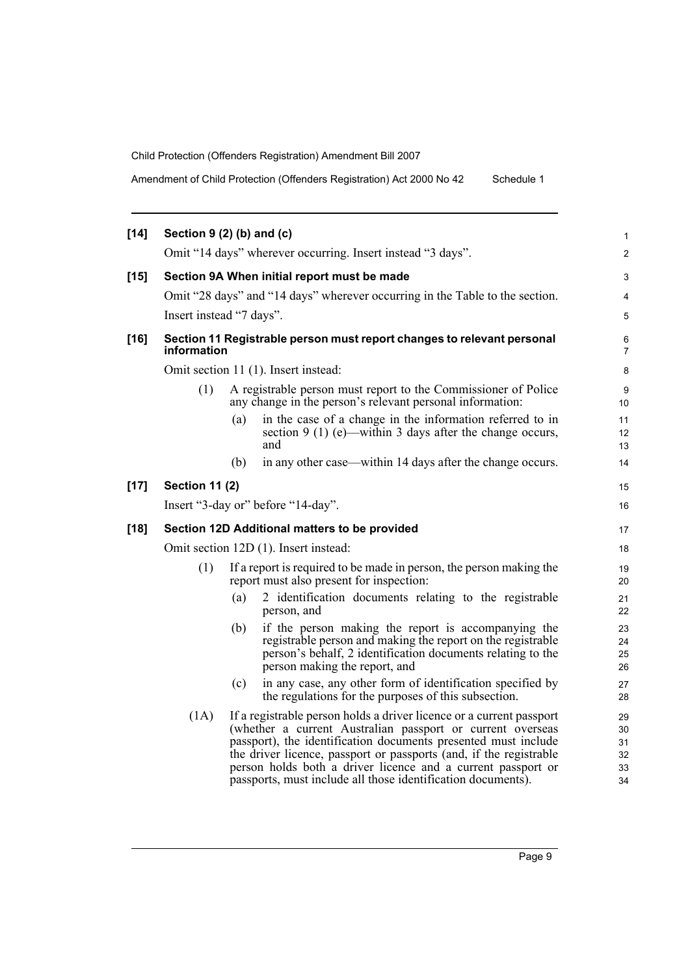Amendment of Child Protection (Offenders Registration) Act 2000 No 42 Schedule 1

| $[14]$ | Section $9(2)$ (b) and (c) |     |                                                                                                                                                                                                                                                                                                                                                                                                            | $\mathbf{1}$                     |
|--------|----------------------------|-----|------------------------------------------------------------------------------------------------------------------------------------------------------------------------------------------------------------------------------------------------------------------------------------------------------------------------------------------------------------------------------------------------------------|----------------------------------|
|        |                            |     | Omit "14 days" wherever occurring. Insert instead "3 days".                                                                                                                                                                                                                                                                                                                                                | $\overline{2}$                   |
|        |                            |     |                                                                                                                                                                                                                                                                                                                                                                                                            |                                  |
| $[15]$ |                            |     | Section 9A When initial report must be made                                                                                                                                                                                                                                                                                                                                                                | 3                                |
|        |                            |     | Omit "28 days" and "14 days" wherever occurring in the Table to the section.                                                                                                                                                                                                                                                                                                                               | 4                                |
|        | Insert instead "7 days".   |     |                                                                                                                                                                                                                                                                                                                                                                                                            | 5                                |
| $[16]$ | information                |     | Section 11 Registrable person must report changes to relevant personal                                                                                                                                                                                                                                                                                                                                     | 6<br>7                           |
|        |                            |     | Omit section 11 (1). Insert instead:                                                                                                                                                                                                                                                                                                                                                                       | 8                                |
|        | (1)                        |     | A registrable person must report to the Commissioner of Police<br>any change in the person's relevant personal information:                                                                                                                                                                                                                                                                                | 9<br>10                          |
|        |                            | (a) | in the case of a change in the information referred to in<br>section 9 (1) (e)—within 3 days after the change occurs,<br>and                                                                                                                                                                                                                                                                               | 11<br>12<br>13                   |
|        |                            | (b) | in any other case—within 14 days after the change occurs.                                                                                                                                                                                                                                                                                                                                                  | 14                               |
| $[17]$ | <b>Section 11 (2)</b>      |     |                                                                                                                                                                                                                                                                                                                                                                                                            | 15                               |
|        |                            |     | Insert "3-day or" before "14-day".                                                                                                                                                                                                                                                                                                                                                                         | 16                               |
| $[18]$ |                            |     | Section 12D Additional matters to be provided                                                                                                                                                                                                                                                                                                                                                              | 17                               |
|        |                            |     | Omit section 12D (1). Insert instead:                                                                                                                                                                                                                                                                                                                                                                      | 18                               |
|        | (1)                        |     | If a report is required to be made in person, the person making the<br>report must also present for inspection:                                                                                                                                                                                                                                                                                            | 19<br>20                         |
|        |                            | (a) | 2 identification documents relating to the registrable<br>person, and                                                                                                                                                                                                                                                                                                                                      | 21<br>22                         |
|        |                            | (b) | if the person making the report is accompanying the<br>registrable person and making the report on the registrable<br>person's behalf, 2 identification documents relating to the<br>person making the report, and                                                                                                                                                                                         | 23<br>24<br>25<br>26             |
|        |                            | (c) | in any case, any other form of identification specified by<br>the regulations for the purposes of this subsection.                                                                                                                                                                                                                                                                                         | 27<br>28                         |
|        | (1A)                       |     | If a registrable person holds a driver licence or a current passport<br>(whether a current Australian passport or current overseas<br>passport), the identification documents presented must include<br>the driver licence, passport or passports (and, if the registrable<br>person holds both a driver licence and a current passport or<br>passports, must include all those identification documents). | 29<br>30<br>31<br>32<br>33<br>34 |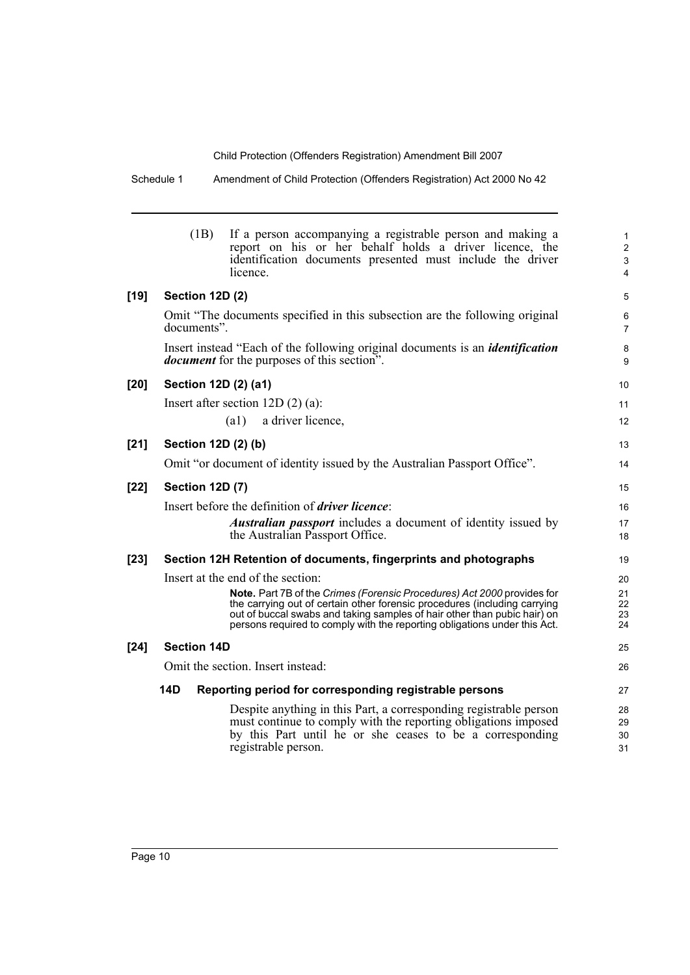Schedule 1 Amendment of Child Protection (Offenders Registration) Act 2000 No 42

|        | (1B)                   | If a person accompanying a registrable person and making a<br>report on his or her behalf holds a driver licence, the<br>identification documents presented must include the driver<br>licence. | $\mathbf{1}$<br>$\overline{2}$<br>$\ensuremath{\mathsf{3}}$<br>4 |
|--------|------------------------|-------------------------------------------------------------------------------------------------------------------------------------------------------------------------------------------------|------------------------------------------------------------------|
| $[19]$ | Section 12D (2)        |                                                                                                                                                                                                 | 5                                                                |
|        | documents".            | Omit "The documents specified in this subsection are the following original                                                                                                                     | 6<br>$\overline{7}$                                              |
|        |                        | Insert instead "Each of the following original documents is an <i>identification</i><br><i>document</i> for the purposes of this section".                                                      | 8<br>$\boldsymbol{9}$                                            |
| $[20]$ | Section 12D (2) (a1)   |                                                                                                                                                                                                 | 10                                                               |
|        |                        | Insert after section $12D(2)(a)$ :                                                                                                                                                              | 11                                                               |
|        |                        | a driver licence,<br>(a1)                                                                                                                                                                       | 12                                                               |
| $[21]$ | Section 12D (2) (b)    |                                                                                                                                                                                                 | 13                                                               |
|        |                        | Omit "or document of identity issued by the Australian Passport Office".                                                                                                                        | 14                                                               |
| $[22]$ | <b>Section 12D (7)</b> |                                                                                                                                                                                                 | 15                                                               |
|        |                        | Insert before the definition of <i>driver licence</i> :                                                                                                                                         | 16                                                               |
|        |                        | <b>Australian passport</b> includes a document of identity issued by<br>the Australian Passport Office.                                                                                         | 17<br>18                                                         |
| $[23]$ |                        | Section 12H Retention of documents, fingerprints and photographs                                                                                                                                | 19                                                               |
|        |                        | Insert at the end of the section:                                                                                                                                                               | 20                                                               |
|        |                        | Note. Part 7B of the Crimes (Forensic Procedures) Act 2000 provides for<br>the carrying out of certain other forensic procedures (including carrying                                            | 21<br>22                                                         |
|        |                        | out of buccal swabs and taking samples of hair other than pubic hair) on<br>persons required to comply with the reporting obligations under this Act.                                           | 23<br>24                                                         |
|        |                        |                                                                                                                                                                                                 |                                                                  |
| $[24]$ | <b>Section 14D</b>     |                                                                                                                                                                                                 | 25                                                               |
|        |                        | Omit the section. Insert instead:                                                                                                                                                               | 26                                                               |
|        | <b>14D</b>             | Reporting period for corresponding registrable persons                                                                                                                                          | 27                                                               |
|        |                        | Despite anything in this Part, a corresponding registrable person                                                                                                                               | 28                                                               |
|        |                        | must continue to comply with the reporting obligations imposed<br>by this Part until he or she ceases to be a corresponding                                                                     | 29<br>30                                                         |
|        |                        | registrable person.                                                                                                                                                                             | 31                                                               |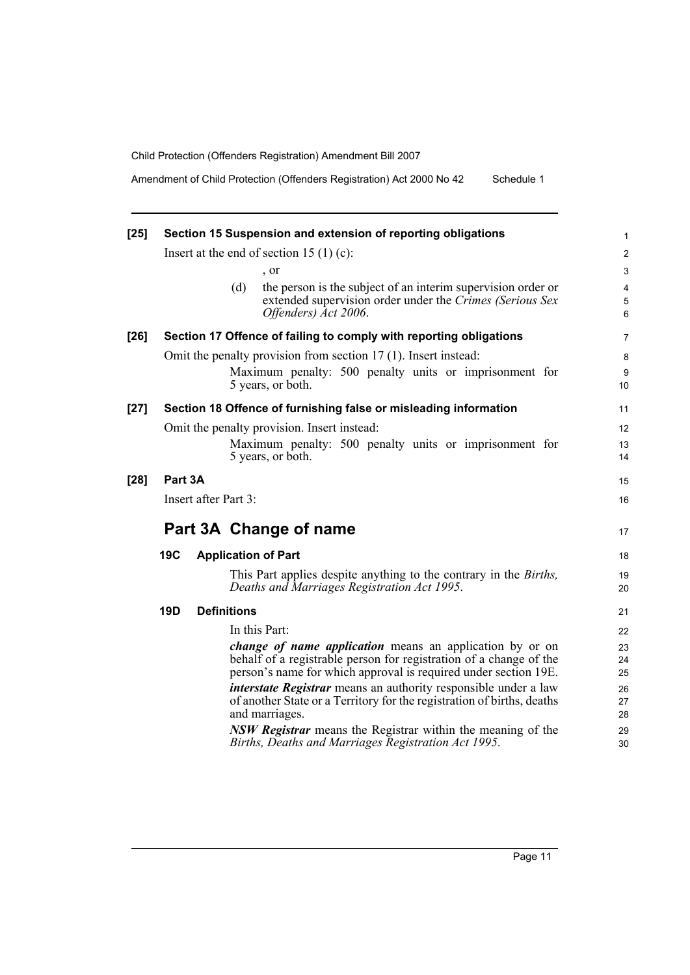Amendment of Child Protection (Offenders Registration) Act 2000 No 42 Schedule 1

| $[25]$ |            |                      | Section 15 Suspension and extension of reporting obligations                                                                                                                                             |  |
|--------|------------|----------------------|----------------------------------------------------------------------------------------------------------------------------------------------------------------------------------------------------------|--|
|        |            |                      | Insert at the end of section 15 $(1)$ (c):                                                                                                                                                               |  |
|        |            |                      | $\cdot$ or                                                                                                                                                                                               |  |
|        |            |                      | (d)<br>the person is the subject of an interim supervision order or<br>extended supervision order under the Crimes (Serious Sex<br>Offenders) Act 2006.                                                  |  |
| $[26]$ |            |                      | Section 17 Offence of failing to comply with reporting obligations                                                                                                                                       |  |
|        |            |                      | Omit the penalty provision from section 17 (1). Insert instead:                                                                                                                                          |  |
|        |            |                      | Maximum penalty: 500 penalty units or imprisonment for<br>5 years, or both.                                                                                                                              |  |
| $[27]$ |            |                      | Section 18 Offence of furnishing false or misleading information                                                                                                                                         |  |
|        |            |                      | Omit the penalty provision. Insert instead:                                                                                                                                                              |  |
|        |            |                      | Maximum penalty: 500 penalty units or imprisonment for<br>5 years, or both.                                                                                                                              |  |
| $[28]$ | Part 3A    |                      |                                                                                                                                                                                                          |  |
|        |            | Insert after Part 3: |                                                                                                                                                                                                          |  |
|        |            |                      | Part 3A Change of name                                                                                                                                                                                   |  |
|        | <b>19C</b> |                      | <b>Application of Part</b>                                                                                                                                                                               |  |
|        |            |                      | This Part applies despite anything to the contrary in the <i>Births</i> ,<br>Deaths and Marriages Registration Act 1995.                                                                                 |  |
|        | <b>19D</b> |                      | <b>Definitions</b>                                                                                                                                                                                       |  |
|        |            |                      | In this Part:                                                                                                                                                                                            |  |
|        |            |                      | <i>change of name application</i> means an application by or on<br>behalf of a registrable person for registration of a change of the<br>person's name for which approval is required under section 19E. |  |
|        |            |                      | <i>interstate Registrar</i> means an authority responsible under a law<br>of another State or a Territory for the registration of births, deaths<br>and marriages.                                       |  |
|        |            |                      | <b>NSW Registrar</b> means the Registrar within the meaning of the<br>Births, Deaths and Marriages Registration Act 1995.                                                                                |  |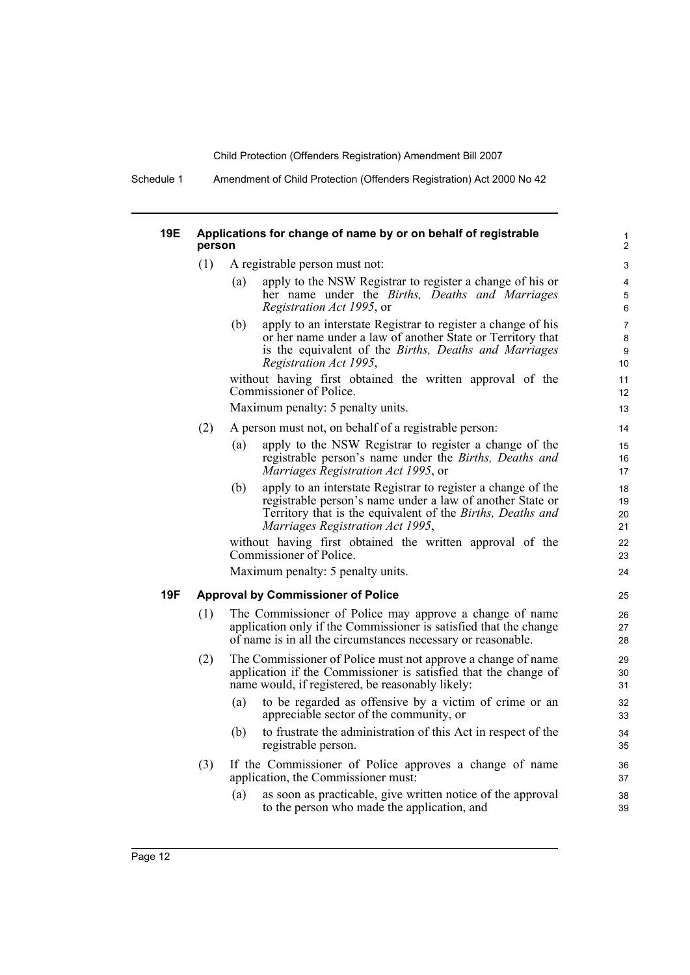Schedule 1 Amendment of Child Protection (Offenders Registration) Act 2000 No 42

#### **19E Applications for change of name by or on behalf of registrable person**

- (1) A registrable person must not:
	- (a) apply to the NSW Registrar to register a change of his or her name under the *Births, Deaths and Marriages Registration Act 1995*, or

(b) apply to an interstate Registrar to register a change of his or her name under a law of another State or Territory that is the equivalent of the *Births, Deaths and Marriages Registration Act 1995*,

without having first obtained the written approval of the Commissioner of Police.

Maximum penalty: 5 penalty units.

- (2) A person must not, on behalf of a registrable person:
	- (a) apply to the NSW Registrar to register a change of the registrable person's name under the *Births, Deaths and Marriages Registration Act 1995*, or
	- (b) apply to an interstate Registrar to register a change of the registrable person's name under a law of another State or Territory that is the equivalent of the *Births, Deaths and Marriages Registration Act 1995*,

without having first obtained the written approval of the Commissioner of Police.

Maximum penalty: 5 penalty units.

## **19F Approval by Commissioner of Police**

- (1) The Commissioner of Police may approve a change of name application only if the Commissioner is satisfied that the change of name is in all the circumstances necessary or reasonable.
- (2) The Commissioner of Police must not approve a change of name application if the Commissioner is satisfied that the change of name would, if registered, be reasonably likely:
	- (a) to be regarded as offensive by a victim of crime or an appreciable sector of the community, or
	- (b) to frustrate the administration of this Act in respect of the registrable person.
- (3) If the Commissioner of Police approves a change of name application, the Commissioner must:
	- (a) as soon as practicable, give written notice of the approval to the person who made the application, and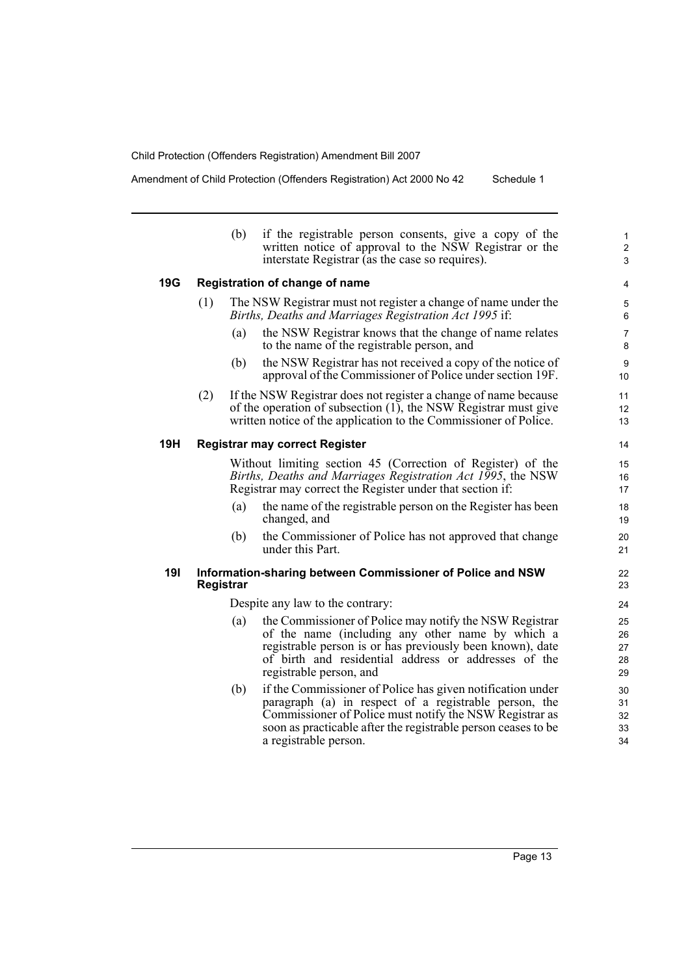i.

Amendment of Child Protection (Offenders Registration) Act 2000 No 42 Schedule 1

|            |           | (b) | if the registrable person consents, give a copy of the<br>written notice of approval to the NSW Registrar or the<br>interstate Registrar (as the case so requires).                                                                                                      | $\mathbf{1}$<br>$\overline{2}$<br>3 |
|------------|-----------|-----|--------------------------------------------------------------------------------------------------------------------------------------------------------------------------------------------------------------------------------------------------------------------------|-------------------------------------|
| 19G        |           |     | Registration of change of name                                                                                                                                                                                                                                           | 4                                   |
|            | (1)       |     | The NSW Registrar must not register a change of name under the<br>Births, Deaths and Marriages Registration Act 1995 if:                                                                                                                                                 | 5<br>6                              |
|            |           | (a) | the NSW Registrar knows that the change of name relates<br>to the name of the registrable person, and                                                                                                                                                                    | $\overline{7}$<br>8                 |
|            |           | (b) | the NSW Registrar has not received a copy of the notice of<br>approval of the Commissioner of Police under section 19F.                                                                                                                                                  | $\boldsymbol{9}$<br>10              |
|            | (2)       |     | If the NSW Registrar does not register a change of name because<br>of the operation of subsection $(1)$ , the NSW Registrar must give<br>written notice of the application to the Commissioner of Police.                                                                | 11<br>12<br>13                      |
| 19H        |           |     | <b>Registrar may correct Register</b>                                                                                                                                                                                                                                    | 14                                  |
|            |           |     | Without limiting section 45 (Correction of Register) of the<br>Births, Deaths and Marriages Registration Act 1995, the NSW<br>Registrar may correct the Register under that section if:                                                                                  | 15<br>16<br>17                      |
|            |           | (a) | the name of the registrable person on the Register has been<br>changed, and                                                                                                                                                                                              | 18<br>19                            |
|            |           | (b) | the Commissioner of Police has not approved that change<br>under this Part.                                                                                                                                                                                              | 20<br>21                            |
| <b>19I</b> | Registrar |     | Information-sharing between Commissioner of Police and NSW                                                                                                                                                                                                               | 22<br>23                            |
|            |           |     | Despite any law to the contrary:                                                                                                                                                                                                                                         | 24                                  |
|            |           | (a) | the Commissioner of Police may notify the NSW Registrar<br>of the name (including any other name by which a<br>registrable person is or has previously been known), date<br>of birth and residential address or addresses of the<br>registrable person, and              | 25<br>26<br>27<br>28<br>29          |
|            |           | (b) | if the Commissioner of Police has given notification under<br>paragraph (a) in respect of a registrable person, the<br>Commissioner of Police must notify the NSW Registrar as<br>soon as practicable after the registrable person ceases to be<br>a registrable person. | 30<br>31<br>32<br>33<br>34          |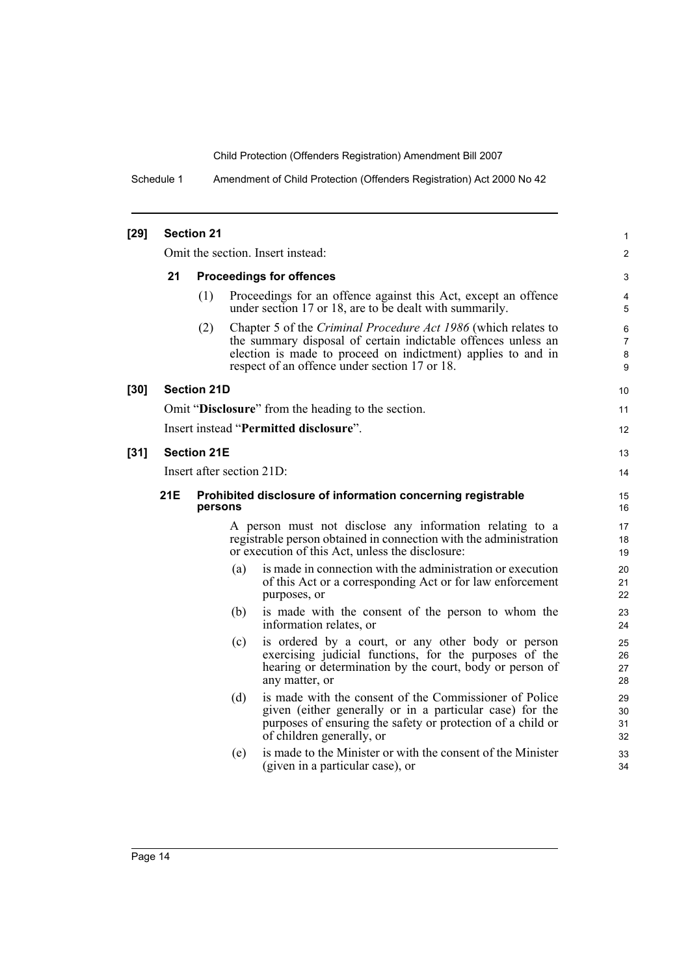Schedule 1 Amendment of Child Protection (Offenders Registration) Act 2000 No 42

| $[29]$ |                           | <b>Section 21</b>  |     |                                                                                                                                                                                                                                                  | 1                             |  |  |
|--------|---------------------------|--------------------|-----|--------------------------------------------------------------------------------------------------------------------------------------------------------------------------------------------------------------------------------------------------|-------------------------------|--|--|
|        |                           |                    |     | Omit the section. Insert instead:                                                                                                                                                                                                                | $\overline{c}$                |  |  |
|        | 21                        |                    |     | <b>Proceedings for offences</b>                                                                                                                                                                                                                  | 3                             |  |  |
|        |                           | (1)                |     | Proceedings for an offence against this Act, except an offence<br>under section 17 or 18, are to be dealt with summarily.                                                                                                                        | 4<br>5                        |  |  |
|        |                           | (2)                |     | Chapter 5 of the Criminal Procedure Act 1986 (which relates to<br>the summary disposal of certain indictable offences unless an<br>election is made to proceed on indictment) applies to and in<br>respect of an offence under section 17 or 18. | 6<br>$\overline{7}$<br>8<br>9 |  |  |
| [30]   |                           | <b>Section 21D</b> |     |                                                                                                                                                                                                                                                  | 10                            |  |  |
|        |                           |                    |     | Omit "Disclosure" from the heading to the section.                                                                                                                                                                                               | 11                            |  |  |
|        |                           |                    |     | Insert instead "Permitted disclosure".                                                                                                                                                                                                           | 12                            |  |  |
| $[31]$ | <b>Section 21E</b>        |                    |     |                                                                                                                                                                                                                                                  |                               |  |  |
|        | Insert after section 21D: |                    |     |                                                                                                                                                                                                                                                  |                               |  |  |
|        | <b>21E</b>                | persons            |     | Prohibited disclosure of information concerning registrable                                                                                                                                                                                      | 15<br>16                      |  |  |
|        |                           |                    |     | A person must not disclose any information relating to a<br>registrable person obtained in connection with the administration<br>or execution of this Act, unless the disclosure:                                                                | 17<br>18<br>19                |  |  |
|        |                           |                    | (a) | is made in connection with the administration or execution<br>of this Act or a corresponding Act or for law enforcement<br>purposes, or                                                                                                          | 20<br>21<br>22                |  |  |
|        |                           |                    | (b) | is made with the consent of the person to whom the<br>information relates, or                                                                                                                                                                    | 23<br>24                      |  |  |
|        |                           |                    | (c) | is ordered by a court, or any other body or person<br>exercising judicial functions, for the purposes of the<br>hearing or determination by the court, body or person of<br>any matter, or                                                       | 25<br>26<br>27<br>28          |  |  |
|        |                           |                    | (d) | is made with the consent of the Commissioner of Police<br>given (either generally or in a particular case) for the<br>purposes of ensuring the safety or protection of a child or<br>of children generally, or                                   | 29<br>30<br>31<br>32          |  |  |
|        |                           |                    | (e) | is made to the Minister or with the consent of the Minister<br>(given in a particular case), or                                                                                                                                                  | 33<br>34                      |  |  |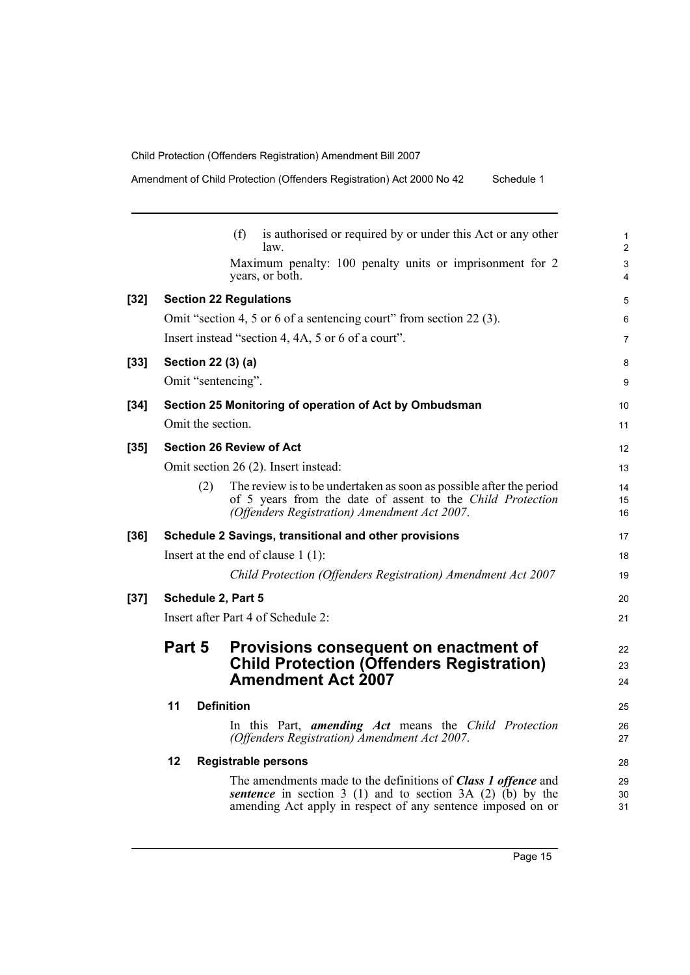Amendment of Child Protection (Offenders Registration) Act 2000 No 42 Schedule 1

|        |                                    | is authorised or required by or under this Act or any other<br>(f)<br>law.                                                                                                                  | $\mathbf{1}$<br>$\overline{2}$ |  |  |
|--------|------------------------------------|---------------------------------------------------------------------------------------------------------------------------------------------------------------------------------------------|--------------------------------|--|--|
|        |                                    | Maximum penalty: 100 penalty units or imprisonment for 2<br>years, or both.                                                                                                                 | 3<br>4                         |  |  |
| $[32]$ |                                    | <b>Section 22 Regulations</b>                                                                                                                                                               | 5                              |  |  |
|        |                                    | Omit "section 4, 5 or 6 of a sentencing court" from section 22 (3).                                                                                                                         | 6                              |  |  |
|        |                                    | Insert instead "section 4, 4A, 5 or 6 of a court".                                                                                                                                          | 7                              |  |  |
| $[33]$ | Section 22 (3) (a)                 |                                                                                                                                                                                             | 8                              |  |  |
|        | Omit "sentencing".                 |                                                                                                                                                                                             | 9                              |  |  |
| $[34]$ |                                    | Section 25 Monitoring of operation of Act by Ombudsman                                                                                                                                      | 10                             |  |  |
|        | Omit the section.                  |                                                                                                                                                                                             | 11                             |  |  |
| $[35]$ |                                    | <b>Section 26 Review of Act</b>                                                                                                                                                             | $12 \overline{ }$              |  |  |
|        |                                    | Omit section 26 (2). Insert instead:                                                                                                                                                        | 13                             |  |  |
|        | (2)                                | The review is to be undertaken as soon as possible after the period<br>of 5 years from the date of assent to the Child Protection<br>(Offenders Registration) Amendment Act 2007.           | 14<br>15<br>16                 |  |  |
| $[36]$ |                                    | Schedule 2 Savings, transitional and other provisions                                                                                                                                       | 17                             |  |  |
|        |                                    | Insert at the end of clause $1(1)$ :                                                                                                                                                        | 18                             |  |  |
|        |                                    | Child Protection (Offenders Registration) Amendment Act 2007                                                                                                                                | 19                             |  |  |
| $[37]$ | Schedule 2, Part 5                 |                                                                                                                                                                                             |                                |  |  |
|        | Insert after Part 4 of Schedule 2: |                                                                                                                                                                                             |                                |  |  |
|        | Part 5                             | Provisions consequent on enactment of                                                                                                                                                       | 22                             |  |  |
|        |                                    | <b>Child Protection (Offenders Registration)</b>                                                                                                                                            | 23                             |  |  |
|        |                                    | <b>Amendment Act 2007</b>                                                                                                                                                                   | 24                             |  |  |
|        | 11                                 | <b>Definition</b>                                                                                                                                                                           | 25                             |  |  |
|        |                                    | In this Part, <i>amending Act</i> means the <i>Child Protection</i><br>(Offenders Registration) Amendment Act 2007.                                                                         | 26<br>27                       |  |  |
|        | 12                                 | <b>Registrable persons</b>                                                                                                                                                                  | 28                             |  |  |
|        |                                    | The amendments made to the definitions of Class 1 offence and<br>sentence in section $3(1)$ and to section $3A(2)(b)$ by the<br>amending Act apply in respect of any sentence imposed on or | 29<br>30<br>31                 |  |  |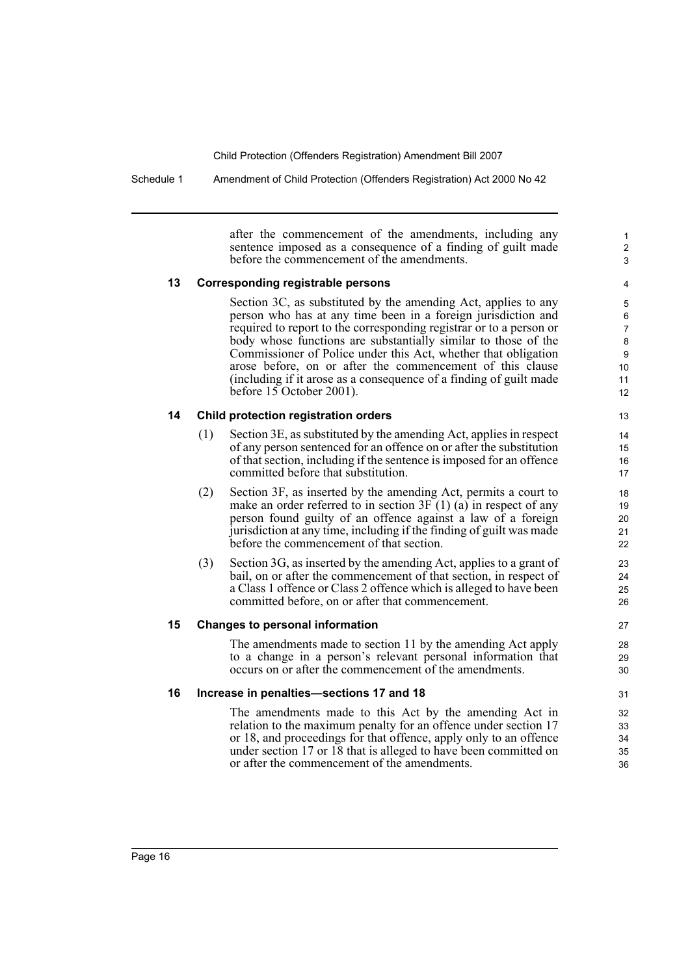Schedule 1 Amendment of Child Protection (Offenders Registration) Act 2000 No 42

after the commencement of the amendments, including any sentence imposed as a consequence of a finding of guilt made before the commencement of the amendments.

1 2 3

### **13 Corresponding registrable persons**

Section 3C, as substituted by the amending Act, applies to any person who has at any time been in a foreign jurisdiction and required to report to the corresponding registrar or to a person or body whose functions are substantially similar to those of the Commissioner of Police under this Act, whether that obligation arose before, on or after the commencement of this clause (including if it arose as a consequence of a finding of guilt made before 15 October 2001).

### **14 Child protection registration orders**

- (1) Section 3E, as substituted by the amending Act, applies in respect of any person sentenced for an offence on or after the substitution of that section, including if the sentence is imposed for an offence committed before that substitution.
- (2) Section 3F, as inserted by the amending Act, permits a court to make an order referred to in section 3F (1) (a) in respect of any person found guilty of an offence against a law of a foreign jurisdiction at any time, including if the finding of guilt was made before the commencement of that section.
- (3) Section 3G, as inserted by the amending Act, applies to a grant of bail, on or after the commencement of that section, in respect of a Class 1 offence or Class 2 offence which is alleged to have been committed before, on or after that commencement.

#### **15 Changes to personal information**

The amendments made to section 11 by the amending Act apply to a change in a person's relevant personal information that occurs on or after the commencement of the amendments.

#### **16 Increase in penalties—sections 17 and 18**

The amendments made to this Act by the amending Act in relation to the maximum penalty for an offence under section 17 or 18, and proceedings for that offence, apply only to an offence under section 17 or 18 that is alleged to have been committed on or after the commencement of the amendments.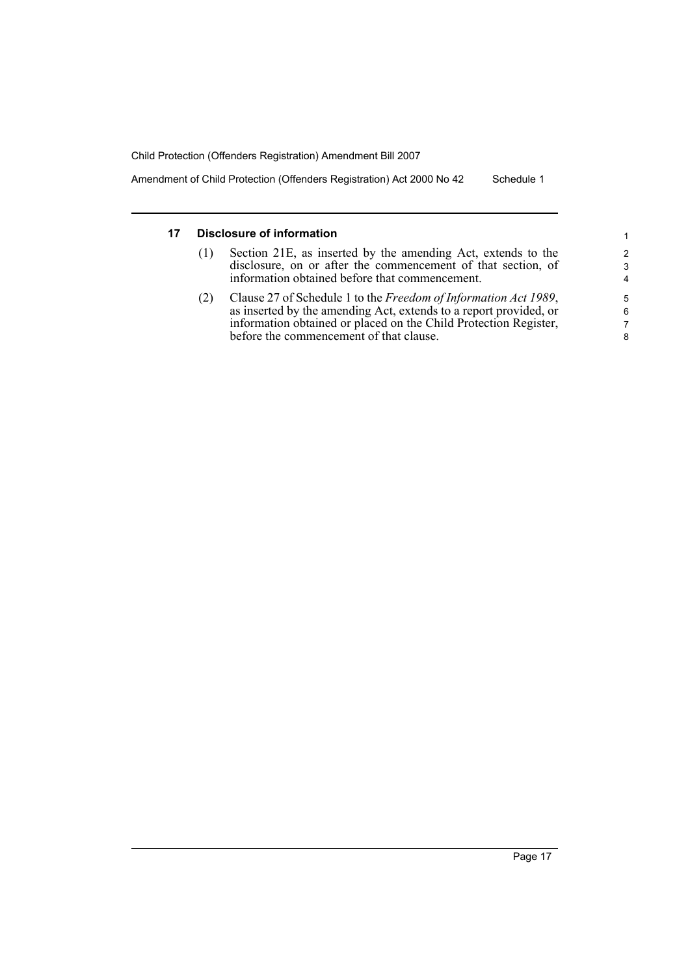Amendment of Child Protection (Offenders Registration) Act 2000 No 42 Schedule 1

## **17 Disclosure of information**

- (1) Section 21E, as inserted by the amending Act, extends to the disclosure, on or after the commencement of that section, of information obtained before that commencement.
- (2) Clause 27 of Schedule 1 to the *Freedom of Information Act 1989*, as inserted by the amending Act, extends to a report provided, or information obtained or placed on the Child Protection Register, before the commencement of that clause.

8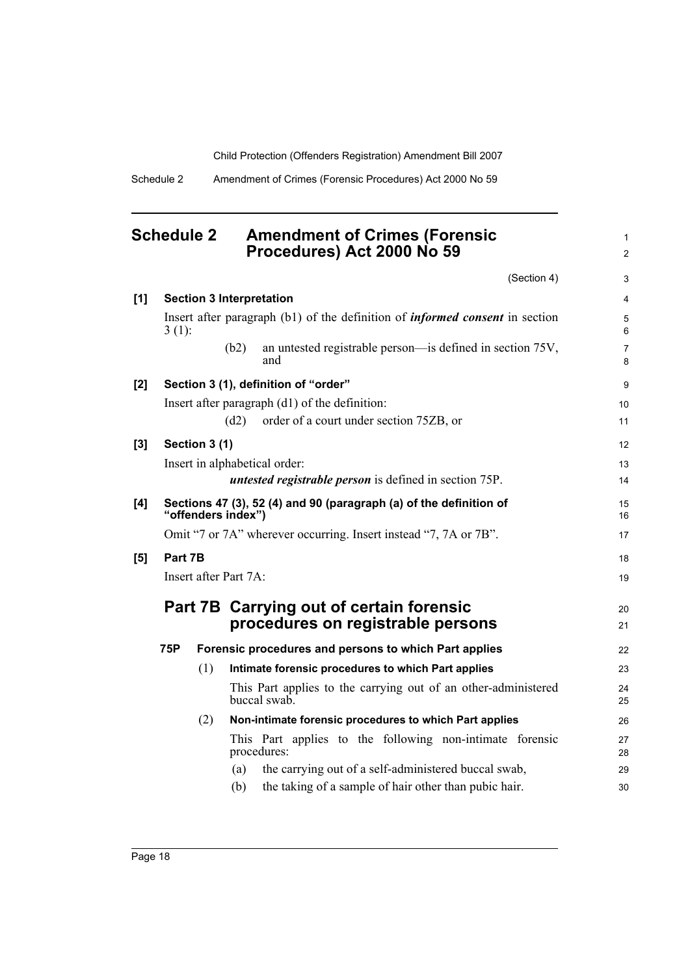1 2

Schedule 2 Amendment of Crimes (Forensic Procedures) Act 2000 No 59

# <span id="page-27-0"></span>**Schedule 2 Amendment of Crimes (Forensic Procedures) Act 2000 No 59**

|            |            |               |                                 | (Section 4)                                                                         | 3                   |
|------------|------------|---------------|---------------------------------|-------------------------------------------------------------------------------------|---------------------|
| [1]        |            |               | <b>Section 3 Interpretation</b> |                                                                                     | $\overline{4}$      |
|            | $3(1)$ :   |               |                                 | Insert after paragraph (b1) of the definition of <i>informed consent</i> in section | 5<br>6              |
|            |            |               | (b2)                            | an untested registrable person—is defined in section 75V,<br>and                    | $\overline{7}$<br>8 |
| [2]        |            |               |                                 | Section 3 (1), definition of "order"                                                | $\boldsymbol{9}$    |
|            |            |               |                                 | Insert after paragraph (d1) of the definition:                                      | 10                  |
|            |            |               | (d2)                            | order of a court under section 75ZB, or                                             | 11                  |
| [3]        |            | Section 3 (1) |                                 |                                                                                     | 12                  |
|            |            |               |                                 | Insert in alphabetical order:                                                       | 13                  |
|            |            |               |                                 | <i>untested registrable person</i> is defined in section 75P.                       | 14                  |
| [4]        |            |               | "offenders index")              | Sections 47 (3), 52 (4) and 90 (paragraph (a) of the definition of                  | 15<br>16            |
|            |            |               |                                 | Omit "7 or 7A" wherever occurring. Insert instead "7, 7A or 7B".                    | 17                  |
| $\bm{[5]}$ | Part 7B    |               |                                 |                                                                                     | 18                  |
|            |            |               | Insert after Part 7A:           |                                                                                     | 19                  |
|            |            |               |                                 | Part 7B Carrying out of certain forensic                                            | 20                  |
|            |            |               |                                 | procedures on registrable persons                                                   | 21                  |
|            | <b>75P</b> |               |                                 | Forensic procedures and persons to which Part applies                               | 22                  |
|            |            | (1)           |                                 | Intimate forensic procedures to which Part applies                                  | 23                  |
|            |            |               |                                 | This Part applies to the carrying out of an other-administered<br>buccal swab.      | 24<br>25            |
|            |            | (2)           |                                 | Non-intimate forensic procedures to which Part applies                              | 26                  |
|            |            |               | procedures:                     | This Part applies to the following non-intimate forensic                            | 27<br>28            |
|            |            |               | (a)                             | the carrying out of a self-administered buccal swab,                                | 29                  |
|            |            |               | (b)                             | the taking of a sample of hair other than pubic hair.                               | 30                  |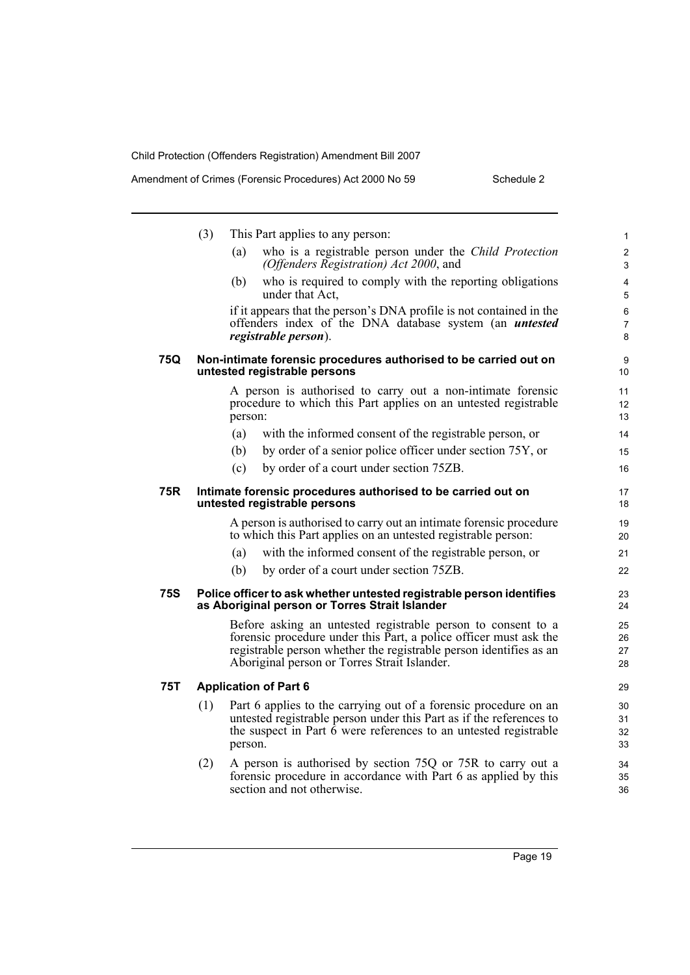|            | (3) | This Part applies to any person:                                                                                                                                                                                                                        | $\mathbf{1}$         |
|------------|-----|---------------------------------------------------------------------------------------------------------------------------------------------------------------------------------------------------------------------------------------------------------|----------------------|
|            |     | who is a registrable person under the Child Protection<br>(a)<br>(Offenders Registration) Act 2000, and                                                                                                                                                 | $\overline{2}$<br>3  |
|            |     | who is required to comply with the reporting obligations<br>(b)<br>under that Act,                                                                                                                                                                      | 4<br>5               |
|            |     | if it appears that the person's DNA profile is not contained in the<br>offenders index of the DNA database system (an <i>untested</i><br>registrable person).                                                                                           | 6<br>7<br>8          |
| 75Q        |     | Non-intimate forensic procedures authorised to be carried out on<br>untested registrable persons                                                                                                                                                        | 9<br>10              |
|            |     | A person is authorised to carry out a non-intimate forensic<br>procedure to which this Part applies on an untested registrable<br>person:                                                                                                               | 11<br>12<br>13       |
|            |     | (a)<br>with the informed consent of the registrable person, or                                                                                                                                                                                          | 14                   |
|            |     | (b)<br>by order of a senior police officer under section 75Y, or                                                                                                                                                                                        | 15                   |
|            |     | by order of a court under section 75ZB.<br>(c)                                                                                                                                                                                                          | 16                   |
| 75R        |     | Intimate forensic procedures authorised to be carried out on<br>untested registrable persons                                                                                                                                                            | 17<br>18             |
|            |     | A person is authorised to carry out an intimate forensic procedure<br>to which this Part applies on an untested registrable person:                                                                                                                     | 19<br>20             |
|            |     | with the informed consent of the registrable person, or<br>(a)                                                                                                                                                                                          | 21                   |
|            |     | (b)<br>by order of a court under section 75ZB.                                                                                                                                                                                                          | 22                   |
| <b>75S</b> |     | Police officer to ask whether untested registrable person identifies<br>as Aboriginal person or Torres Strait Islander                                                                                                                                  | 23<br>24             |
|            |     | Before asking an untested registrable person to consent to a<br>forensic procedure under this Part, a police officer must ask the<br>registrable person whether the registrable person identifies as an<br>Aboriginal person or Torres Strait Islander. | 25<br>26<br>27<br>28 |
| <b>75T</b> |     | <b>Application of Part 6</b>                                                                                                                                                                                                                            | 29                   |
|            | (1) | Part 6 applies to the carrying out of a forensic procedure on an<br>untested registrable person under this Part as if the references to<br>the suspect in Part $\bar{6}$ were references to an untested registrable<br>person.                          | 30<br>31<br>32<br>33 |
|            | (2) | A person is authorised by section 75Q or 75R to carry out a<br>forensic procedure in accordance with Part 6 as applied by this<br>section and not otherwise.                                                                                            | 34<br>35<br>36       |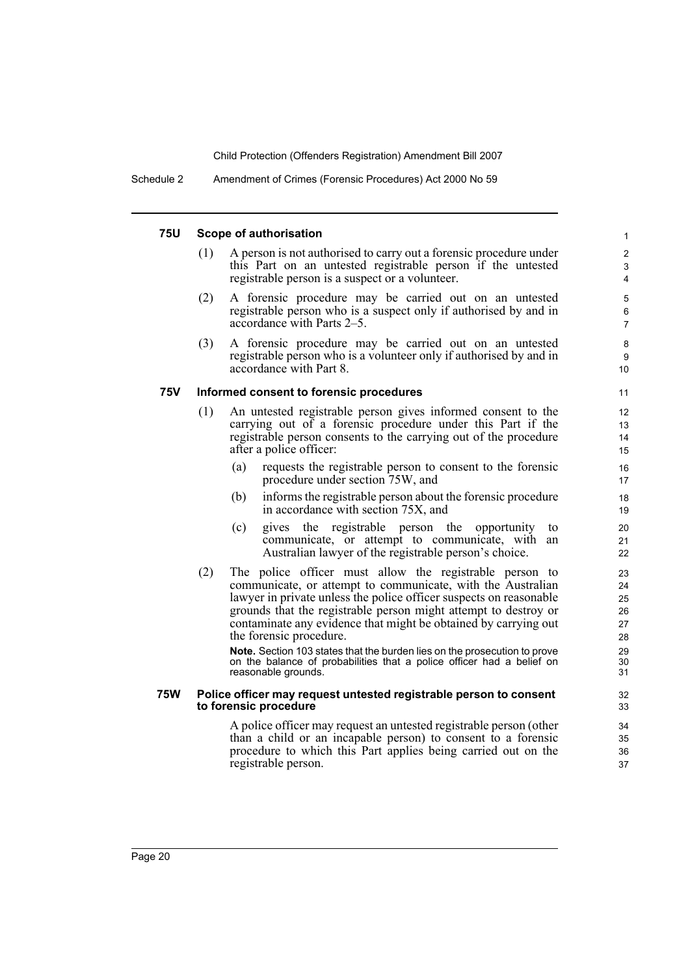#### **75U Scope of authorisation**

(1) A person is not authorised to carry out a forensic procedure under this Part on an untested registrable person if the untested registrable person is a suspect or a volunteer.

- (2) A forensic procedure may be carried out on an untested registrable person who is a suspect only if authorised by and in accordance with Parts 2–5.
- (3) A forensic procedure may be carried out on an untested registrable person who is a volunteer only if authorised by and in accordance with Part 8.

#### **75V Informed consent to forensic procedures**

- (1) An untested registrable person gives informed consent to the carrying out of a forensic procedure under this Part if the registrable person consents to the carrying out of the procedure after a police officer:
	- (a) requests the registrable person to consent to the forensic procedure under section 75W, and
	- (b) informs the registrable person about the forensic procedure in accordance with section 75X, and
	- (c) gives the registrable person the opportunity to communicate, or attempt to communicate, with an Australian lawyer of the registrable person's choice.
- (2) The police officer must allow the registrable person to communicate, or attempt to communicate, with the Australian lawyer in private unless the police officer suspects on reasonable grounds that the registrable person might attempt to destroy or contaminate any evidence that might be obtained by carrying out the forensic procedure.

**Note.** Section 103 states that the burden lies on the prosecution to prove on the balance of probabilities that a police officer had a belief on reasonable grounds.

#### **75W Police officer may request untested registrable person to consent to forensic procedure**

A police officer may request an untested registrable person (other than a child or an incapable person) to consent to a forensic procedure to which this Part applies being carried out on the registrable person.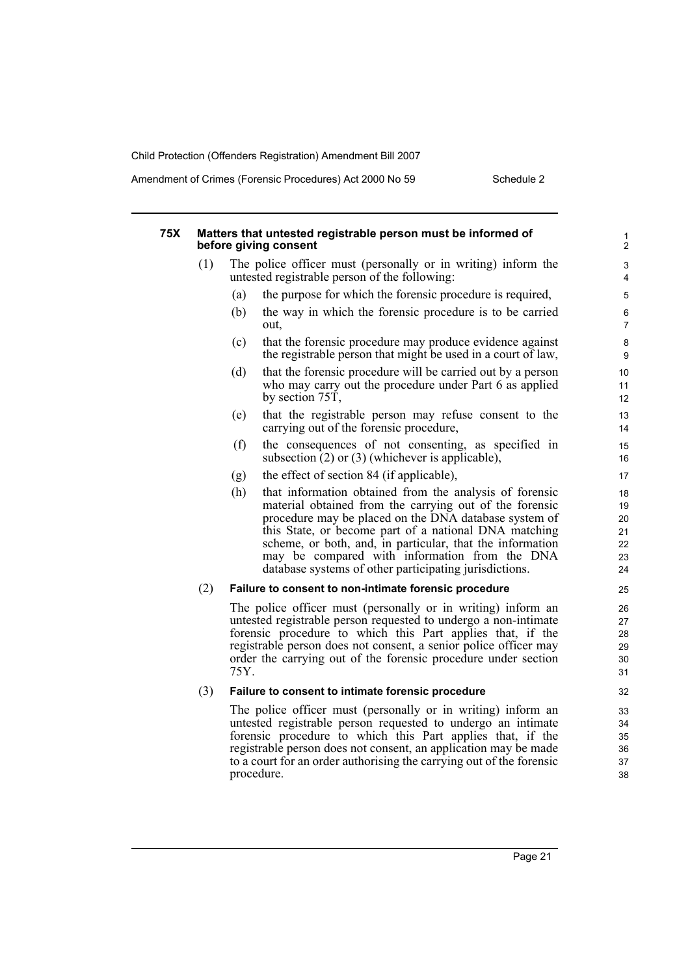Amendment of Crimes (Forensic Procedures) Act 2000 No 59 Schedule 2

| <b>75X</b> |     | Matters that untested registrable person must be informed of<br>before giving consent                                                                                                                                                                                                                                                                                                                               | 1<br>$\overline{\mathbf{c}}$           |
|------------|-----|---------------------------------------------------------------------------------------------------------------------------------------------------------------------------------------------------------------------------------------------------------------------------------------------------------------------------------------------------------------------------------------------------------------------|----------------------------------------|
|            | (1) | The police officer must (personally or in writing) inform the<br>untested registrable person of the following:                                                                                                                                                                                                                                                                                                      | 3<br>4                                 |
|            |     | (a)<br>the purpose for which the forensic procedure is required,                                                                                                                                                                                                                                                                                                                                                    | 5                                      |
|            |     | (b)<br>the way in which the forensic procedure is to be carried<br>out,                                                                                                                                                                                                                                                                                                                                             | 6<br>$\overline{7}$                    |
|            |     | (c)<br>that the forensic procedure may produce evidence against<br>the registrable person that might be used in a court of law,                                                                                                                                                                                                                                                                                     | 8<br>9                                 |
|            |     | (d)<br>that the forensic procedure will be carried out by a person<br>who may carry out the procedure under Part 6 as applied<br>by section $75T$ ,                                                                                                                                                                                                                                                                 | 10<br>11<br>12                         |
|            |     | that the registrable person may refuse consent to the<br>(e)<br>carrying out of the forensic procedure,                                                                                                                                                                                                                                                                                                             | 13<br>14                               |
|            |     | the consequences of not consenting, as specified in<br>(f)<br>subsection $(2)$ or $(3)$ (whichever is applicable),                                                                                                                                                                                                                                                                                                  | 15<br>16                               |
|            |     | the effect of section 84 (if applicable),<br>(g)                                                                                                                                                                                                                                                                                                                                                                    | 17                                     |
|            |     | (h)<br>that information obtained from the analysis of forensic<br>material obtained from the carrying out of the forensic<br>procedure may be placed on the DNA database system of<br>this State, or become part of a national DNA matching<br>scheme, or both, and, in particular, that the information<br>may be compared with information from the DNA<br>database systems of other participating jurisdictions. | 18<br>19<br>20<br>21<br>22<br>23<br>24 |
|            | (2) | Failure to consent to non-intimate forensic procedure                                                                                                                                                                                                                                                                                                                                                               | 25                                     |
|            |     | The police officer must (personally or in writing) inform an<br>untested registrable person requested to undergo a non-intimate<br>forensic procedure to which this Part applies that, if the<br>registrable person does not consent, a senior police officer may<br>order the carrying out of the forensic procedure under section<br>75Y.                                                                         | 26<br>27<br>28<br>29<br>30<br>31       |
|            | (3) | Failure to consent to intimate forensic procedure                                                                                                                                                                                                                                                                                                                                                                   | 32                                     |
|            |     | The police officer must (personally or in writing) inform an<br>untested registrable person requested to undergo an intimate<br>forensic procedure to which this Part applies that, if the<br>registrable person does not consent, an application may be made<br>to a court for an order authorising the carrying out of the forensic<br>procedure.                                                                 | 33<br>34<br>35<br>36<br>37<br>38       |
|            |     |                                                                                                                                                                                                                                                                                                                                                                                                                     |                                        |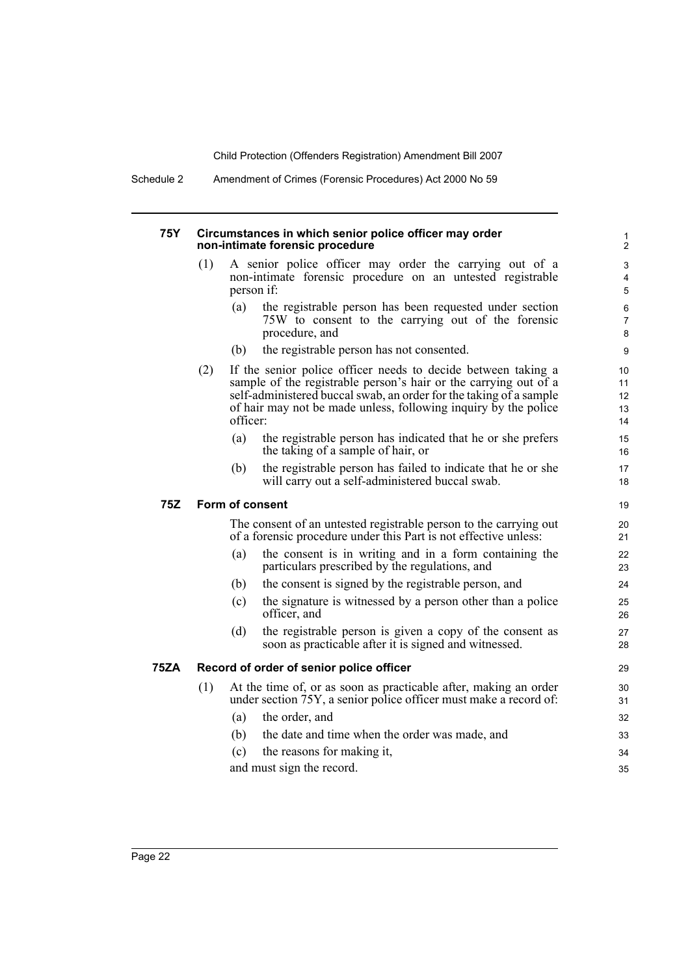Schedule 2 Amendment of Crimes (Forensic Procedures) Act 2000 No 59

#### **75Y Circumstances in which senior police officer may order non-intimate forensic procedure**

- (1) A senior police officer may order the carrying out of a non-intimate forensic procedure on an untested registrable person if:
	- (a) the registrable person has been requested under section 75W to consent to the carrying out of the forensic procedure, and

- (b) the registrable person has not consented.
- (2) If the senior police officer needs to decide between taking a sample of the registrable person's hair or the carrying out of a self-administered buccal swab, an order for the taking of a sample of hair may not be made unless, following inquiry by the police officer:
	- (a) the registrable person has indicated that he or she prefers the taking of a sample of hair, or
	- (b) the registrable person has failed to indicate that he or she will carry out a self-administered buccal swab.

#### **75Z Form of consent**

The consent of an untested registrable person to the carrying out of a forensic procedure under this Part is not effective unless:

- (a) the consent is in writing and in a form containing the particulars prescribed by the regulations, and
- (b) the consent is signed by the registrable person, and
- (c) the signature is witnessed by a person other than a police officer, and
- (d) the registrable person is given a copy of the consent as soon as practicable after it is signed and witnessed.

## **75ZA Record of order of senior police officer**

- (1) At the time of, or as soon as practicable after, making an order under section 75Y, a senior police officer must make a record of: (a) the order, and
	- (b) the date and time when the order was made, and
	- (c) the reasons for making it,
	- and must sign the record.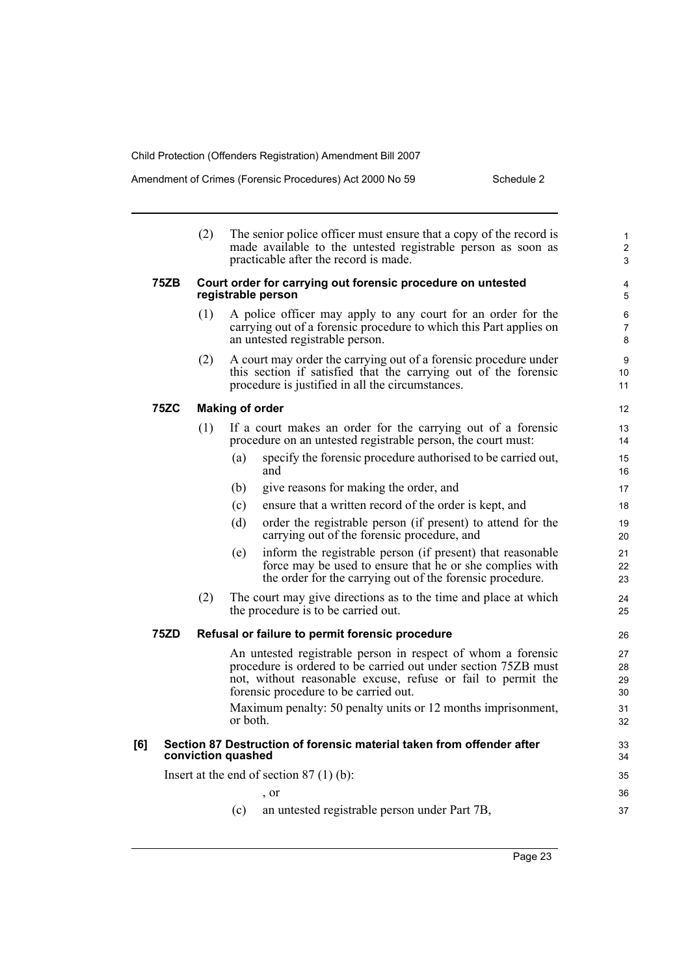|                                           |             | (2)                |          | The senior police officer must ensure that a copy of the record is<br>made available to the untested registrable person as soon as<br>practicable after the record is made.                                                                                                                             | $\mathbf{1}$<br>$\overline{2}$<br>3 |
|-------------------------------------------|-------------|--------------------|----------|---------------------------------------------------------------------------------------------------------------------------------------------------------------------------------------------------------------------------------------------------------------------------------------------------------|-------------------------------------|
|                                           | <b>75ZB</b> |                    |          | Court order for carrying out forensic procedure on untested<br>registrable person                                                                                                                                                                                                                       | 4<br>5                              |
|                                           |             | (1)                |          | A police officer may apply to any court for an order for the<br>carrying out of a forensic procedure to which this Part applies on<br>an untested registrable person.                                                                                                                                   | 6<br>$\overline{7}$<br>8            |
|                                           |             | (2)                |          | A court may order the carrying out of a forensic procedure under<br>this section if satisfied that the carrying out of the forensic<br>procedure is justified in all the circumstances.                                                                                                                 | 9<br>10<br>11                       |
|                                           | <b>75ZC</b> |                    |          | <b>Making of order</b>                                                                                                                                                                                                                                                                                  | 12                                  |
|                                           |             | (1)                |          | If a court makes an order for the carrying out of a forensic<br>procedure on an untested registrable person, the court must:                                                                                                                                                                            | 13<br>14                            |
|                                           |             |                    | (a)      | specify the forensic procedure authorised to be carried out,<br>and                                                                                                                                                                                                                                     | 15<br>16                            |
|                                           |             |                    | (b)      | give reasons for making the order, and                                                                                                                                                                                                                                                                  | 17                                  |
|                                           |             |                    | (c)      | ensure that a written record of the order is kept, and                                                                                                                                                                                                                                                  | 18                                  |
|                                           |             |                    | (d)      | order the registrable person (if present) to attend for the<br>carrying out of the forensic procedure, and                                                                                                                                                                                              | 19<br>20                            |
|                                           |             |                    | (e)      | inform the registrable person (if present) that reasonable<br>force may be used to ensure that he or she complies with<br>the order for the carrying out of the forensic procedure.                                                                                                                     | 21<br>22<br>23                      |
|                                           |             | (2)                |          | The court may give directions as to the time and place at which<br>the procedure is to be carried out.                                                                                                                                                                                                  | 24<br>25                            |
|                                           | 75ZD        |                    |          | Refusal or failure to permit forensic procedure                                                                                                                                                                                                                                                         | 26                                  |
|                                           |             |                    | or both. | An untested registrable person in respect of whom a forensic<br>procedure is ordered to be carried out under section 75ZB must<br>not, without reasonable excuse, refuse or fail to permit the<br>forensic procedure to be carried out.<br>Maximum penalty: 50 penalty units or 12 months imprisonment, | 27<br>28<br>29<br>30<br>31<br>32    |
| [6]                                       |             | conviction quashed |          | Section 87 Destruction of forensic material taken from offender after                                                                                                                                                                                                                                   | 33<br>34                            |
| Insert at the end of section $87(1)(b)$ : |             |                    |          |                                                                                                                                                                                                                                                                                                         | 35                                  |
|                                           |             |                    |          | $\cdot$ or                                                                                                                                                                                                                                                                                              | 36                                  |
|                                           |             |                    | (c)      | an untested registrable person under Part 7B,                                                                                                                                                                                                                                                           | 37                                  |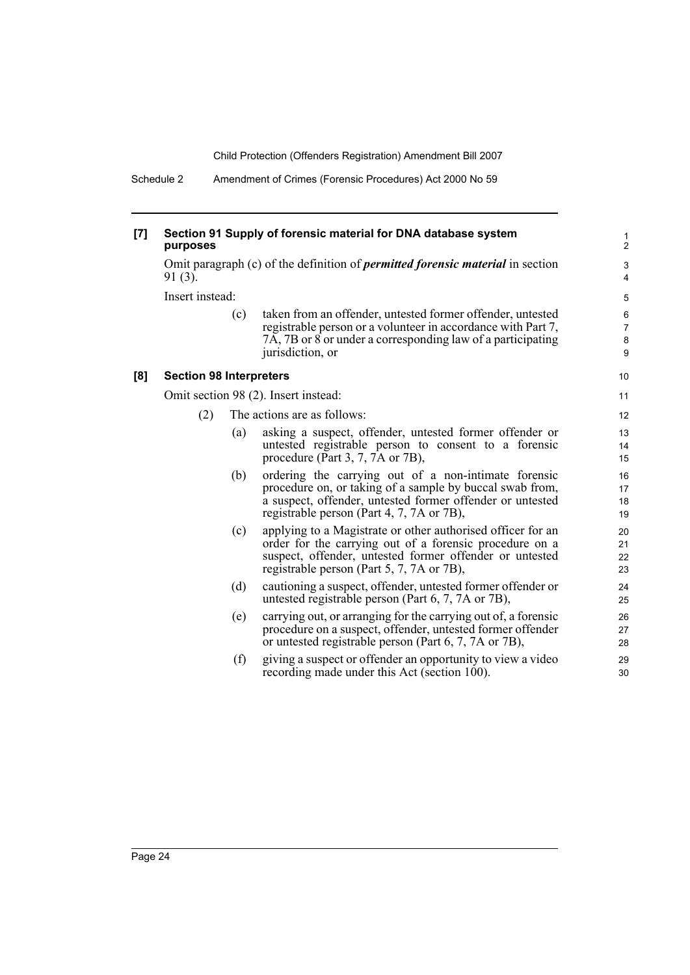Schedule 2 Amendment of Crimes (Forensic Procedures) Act 2000 No 59

#### **[7] Section 91 Supply of forensic material for DNA database system purposes**

Omit paragraph (c) of the definition of *permitted forensic material* in section 91 (3).

Insert instead:

| (c) | taken from an offender, untested former offender, untested   |
|-----|--------------------------------------------------------------|
|     | registrable person or a volunteer in accordance with Part 7, |
|     | 7A, 7B or 8 or under a corresponding law of a participating  |
|     | jurisdiction, or                                             |

#### **[8] Section 98 Interpreters**

Omit section 98 (2). Insert instead:

- (2) The actions are as follows:
	- (a) asking a suspect, offender, untested former offender or untested registrable person to consent to a forensic procedure (Part 3, 7, 7A or 7B),
	- (b) ordering the carrying out of a non-intimate forensic procedure on, or taking of a sample by buccal swab from, a suspect, offender, untested former offender or untested registrable person (Part 4, 7, 7A or 7B),
	- (c) applying to a Magistrate or other authorised officer for an order for the carrying out of a forensic procedure on a suspect, offender, untested former offender or untested registrable person (Part 5, 7, 7A or 7B),
	- (d) cautioning a suspect, offender, untested former offender or untested registrable person (Part 6, 7, 7A or 7B),
	- (e) carrying out, or arranging for the carrying out of, a forensic procedure on a suspect, offender, untested former offender or untested registrable person (Part 6, 7, 7A or 7B),
	- (f) giving a suspect or offender an opportunity to view a video recording made under this Act (section 100).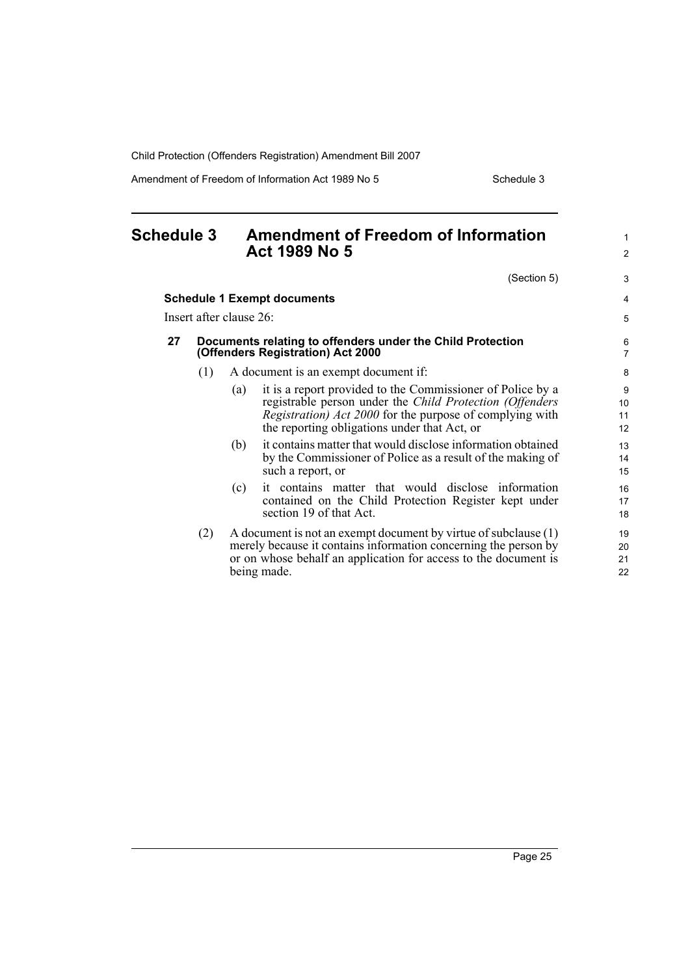Amendment of Freedom of Information Act 1989 No 5 Schedule 3

<span id="page-34-0"></span>

| <b>Schedule 3</b> |     | <b>Amendment of Freedom of Information</b>                                                                                                                                                                                                |                      |
|-------------------|-----|-------------------------------------------------------------------------------------------------------------------------------------------------------------------------------------------------------------------------------------------|----------------------|
|                   |     | <b>Act 1989 No 5</b>                                                                                                                                                                                                                      | 2                    |
|                   |     | (Section 5)                                                                                                                                                                                                                               | 3                    |
|                   |     | <b>Schedule 1 Exempt documents</b>                                                                                                                                                                                                        | $\overline{4}$       |
|                   |     | Insert after clause 26:                                                                                                                                                                                                                   | 5                    |
| 27                |     | Documents relating to offenders under the Child Protection<br>(Offenders Registration) Act 2000                                                                                                                                           | 6<br>$\overline{7}$  |
|                   | (1) | A document is an exempt document if:                                                                                                                                                                                                      | 8                    |
|                   |     | it is a report provided to the Commissioner of Police by a<br>(a)<br>registrable person under the Child Protection (Offenders<br>Registration) Act 2000 for the purpose of complying with<br>the reporting obligations under that Act, or | 9<br>10<br>11<br>12  |
|                   |     | it contains matter that would disclose information obtained<br>(b)<br>by the Commissioner of Police as a result of the making of<br>such a report, or                                                                                     | 13<br>14<br>15       |
|                   |     | it contains matter that would disclose information<br>(c)<br>contained on the Child Protection Register kept under<br>section 19 of that Act.                                                                                             | 16<br>17<br>18       |
|                   | (2) | A document is not an exempt document by virtue of subclause (1)<br>merely because it contains information concerning the person by<br>or on whose behalf an application for access to the document is<br>being made.                      | 19<br>20<br>21<br>22 |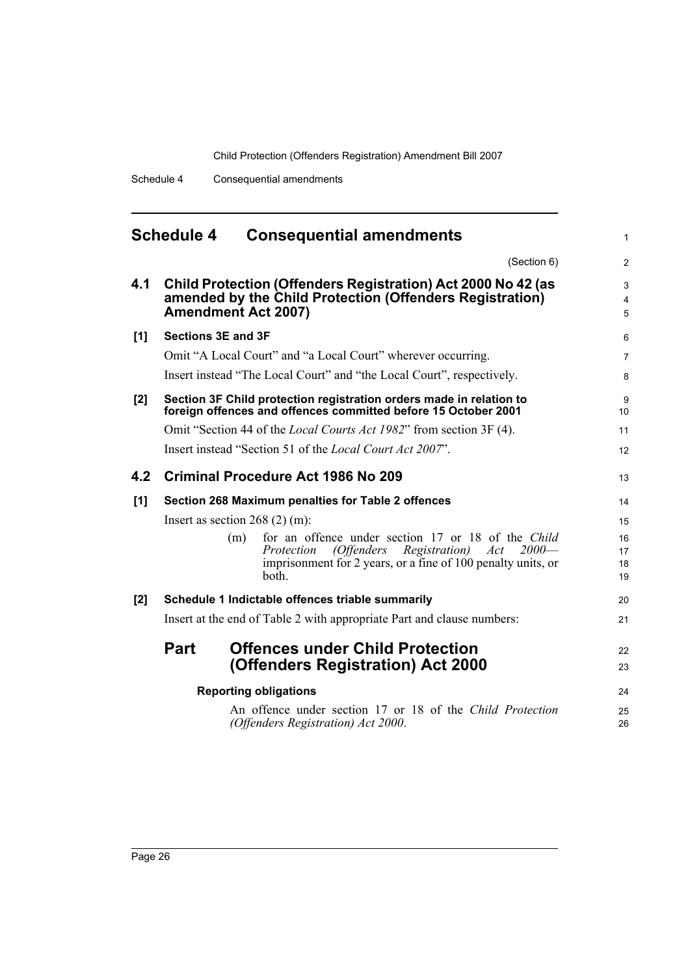<span id="page-35-0"></span>

|       | <b>Schedule 4</b>         | <b>Consequential amendments</b>                                                                                                                                                                           | $\mathbf{1}$             |
|-------|---------------------------|-----------------------------------------------------------------------------------------------------------------------------------------------------------------------------------------------------------|--------------------------|
|       |                           | (Section 6)                                                                                                                                                                                               | 2                        |
| 4.1   |                           | Child Protection (Offenders Registration) Act 2000 No 42 (as<br>amended by the Child Protection (Offenders Registration)<br><b>Amendment Act 2007)</b>                                                    | 3<br>$\overline{4}$<br>5 |
| $[1]$ | <b>Sections 3E and 3F</b> |                                                                                                                                                                                                           | 6                        |
|       |                           | Omit "A Local Court" and "a Local Court" wherever occurring.                                                                                                                                              | $\overline{7}$           |
|       |                           | Insert instead "The Local Court" and "the Local Court", respectively.                                                                                                                                     | 8                        |
| [2]   |                           | Section 3F Child protection registration orders made in relation to<br>foreign offences and offences committed before 15 October 2001                                                                     | 9<br>10                  |
|       |                           | Omit "Section 44 of the <i>Local Courts Act 1982</i> " from section 3F (4).                                                                                                                               | 11                       |
|       |                           | Insert instead "Section 51 of the <i>Local Court Act 2007</i> ".                                                                                                                                          | 12                       |
| 4.2   |                           | Criminal Procedure Act 1986 No 209                                                                                                                                                                        | 13                       |
| [1]   |                           | Section 268 Maximum penalties for Table 2 offences                                                                                                                                                        | 14                       |
|       |                           | Insert as section $268$ (2) (m):                                                                                                                                                                          | 15                       |
|       |                           | for an offence under section 17 or 18 of the Child<br>(m)<br>(Offenders<br><i>Registration</i> )<br>$2000-$<br>Protection<br>Act<br>imprisonment for 2 years, or a fine of 100 penalty units, or<br>both. | 16<br>17<br>18<br>19     |
| [2]   |                           | Schedule 1 Indictable offences triable summarily                                                                                                                                                          | 20                       |
|       |                           | Insert at the end of Table 2 with appropriate Part and clause numbers:                                                                                                                                    | 21                       |
|       | <b>Part</b>               | <b>Offences under Child Protection</b><br>(Offenders Registration) Act 2000                                                                                                                               | 22<br>23                 |
|       |                           | <b>Reporting obligations</b>                                                                                                                                                                              | 24                       |
|       |                           | An offence under section 17 or 18 of the Child Protection<br>(Offenders Registration) Act 2000.                                                                                                           | 25<br>26                 |